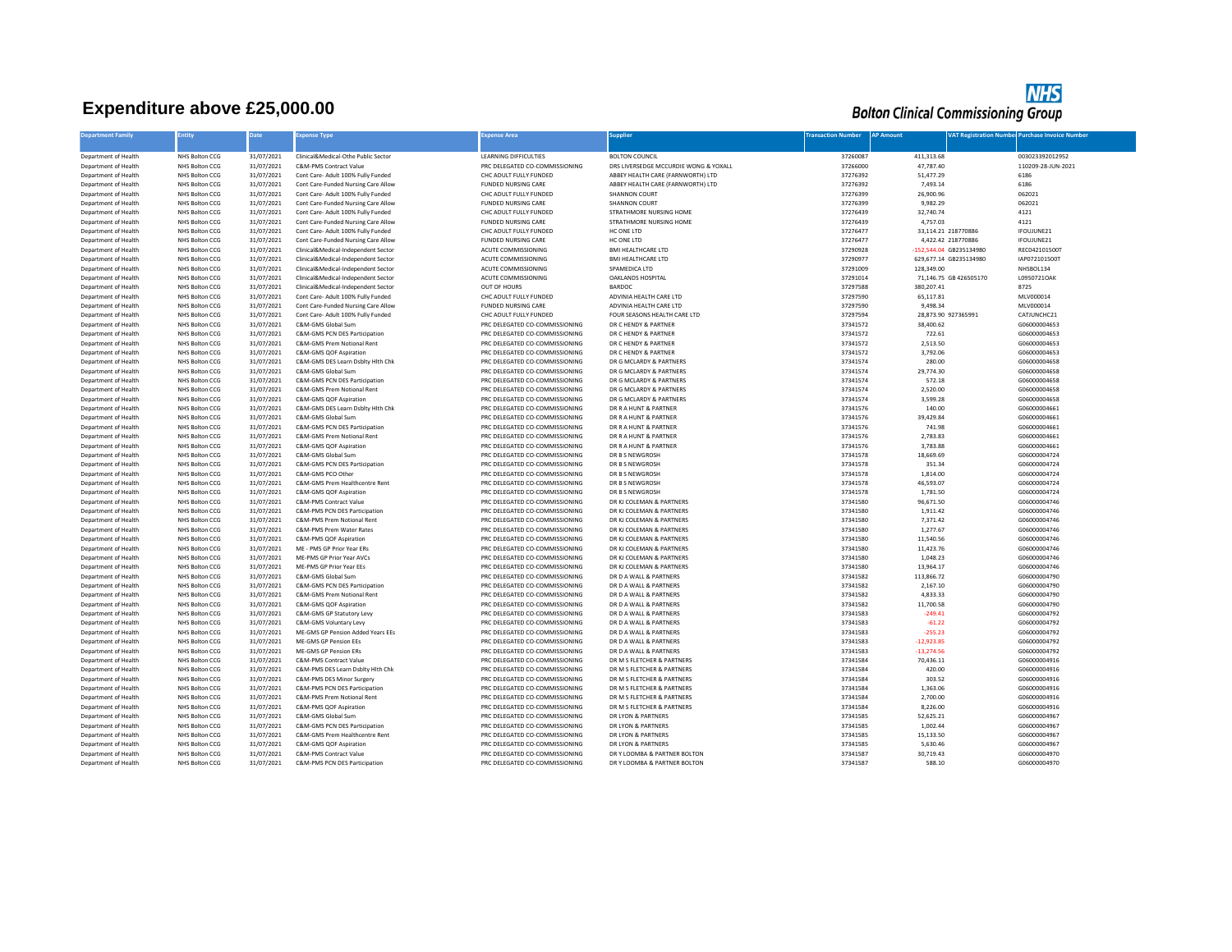## **Expenditure above £25,000.00**



| <b>Department Family</b>                     | <b>Entity</b>                    | Date                     | <b>xpense Type</b>                                                         | Expense Area                                                     | <b>Supplier</b>                                      | <b>Transaction Number AP Amount</b> |                         |                         | <b>VAT Registration Number Purchase Invoice Number</b> |
|----------------------------------------------|----------------------------------|--------------------------|----------------------------------------------------------------------------|------------------------------------------------------------------|------------------------------------------------------|-------------------------------------|-------------------------|-------------------------|--------------------------------------------------------|
| Department of Health                         | NHS Bolton CCG                   | 31/07/2021               | Clinical&Medical-Othe Public Sector                                        | <b>LEARNING DIFFICULTIES</b>                                     | <b>BOLTON COUNCIL</b>                                | 37260087                            | 411,313.68              |                         | 003023392012952                                        |
| Department of Health                         | NHS Bolton CCG                   | 31/07/2021               | C&M-PMS Contract Value                                                     | PRC DELEGATED CO-COMMISSIONING                                   | DRS LIVERSEDGE MCCURDIE WONG & YOXALL                | 37266000                            | 47,787.40               |                         | 110209-28-JUN-2021                                     |
| Department of Health                         | NHS Bolton CCG                   | 31/07/2021               | Cont Care- Adult 100% Fully Funded                                         | CHC ADULT FULLY FUNDED                                           | ABBEY HEALTH CARE (FARNWORTH) LTD                    | 37276392                            | 51,477.29               |                         | 6186                                                   |
| Department of Health                         | NHS Bolton CCG                   | 31/07/2021               | Cont Care-Funded Nursing Care Allow                                        | <b>FUNDED NURSING CARE</b>                                       | ABBEY HEALTH CARE (FARNWORTH) LTD                    | 37276392                            | 7,493.14                |                         | 6186                                                   |
| Department of Health                         | NHS Bolton CCG                   | 31/07/2021               | Cont Care- Adult 100% Fully Funded                                         | CHC ADULT FULLY FUNDED                                           | SHANNON COURT                                        | 37276399                            | 26,900.96               |                         | 062021                                                 |
| Department of Health                         | NHS Bolton CCG                   | 31/07/2021               | Cont Care-Funded Nursing Care Allow                                        | FUNDED NURSING CARE                                              | SHANNON COURT                                        | 37276399                            | 9,982.29                |                         | 062021                                                 |
| Department of Health                         | NHS Bolton CCG                   | 31/07/2021               | Cont Care- Adult 100% Fully Funded                                         | CHC ADULT FULLY FUNDED                                           | STRATHMORE NURSING HOME                              | 37276439                            | 32,740.74               |                         | 4121                                                   |
| Department of Health                         | NHS Bolton CCG                   | 31/07/2021               | Cont Care-Funded Nursing Care Allow                                        | FUNDED NURSING CARE                                              | STRATHMORE NURSING HOME                              | 37276439                            | 4,757.03                |                         | 4121                                                   |
| Department of Health                         | NHS Bolton CCG                   | 31/07/2021               | Cont Care- Adult 100% Fully Funded                                         | CHC ADULT FULLY FUNDED                                           | HC ONE LTD                                           | 37276477                            |                         | 33,114.21 218770886     | IFOUJUNE21                                             |
| Department of Health                         | NHS Bolton CCG                   | 31/07/2021               | Cont Care-Funded Nursing Care Allow                                        | <b>FUNDED NURSING CARE</b>                                       | HC ONE LTD                                           | 37276477                            |                         | 4,422.42 218770886      | IFOUJUNE21                                             |
| Department of Health                         | NHS Bolton CCG                   | 31/07/2021               | Clinical&Medical-Independent Sector                                        | ACUTE COMMISSIONING                                              | <b>BMI HEALTHCARE LTD</b>                            | 37290928                            |                         | -152,544.04 GB235134980 | REC042101500T                                          |
| Department of Health                         | NHS Bolton CCG                   | 31/07/2021               | Clinical&Medical-Independent Sector                                        | ACUTE COMMISSIONING                                              | <b>BMI HEALTHCARE LTD</b>                            | 37290977                            |                         | 629.677.14 GB235134980  | IAP072101500T                                          |
| Department of Health<br>Department of Health | NHS Bolton CCG<br>NHS Bolton CCG | 31/07/2021<br>31/07/2021 | Clinical&Medical-Independent Sector<br>Clinical&Medical-Independent Sector | ACUTE COMMISSIONING<br>ACUTE COMMISSIONING                       | SPAMEDICA LTD<br>OAKLANDS HOSPITAL                   | 37291009<br>37291014                | 128,349.00              | 71,146.75 GB 426505170  | NHSBOL134<br>L0950721OAK                               |
|                                              |                                  | 31/07/2021               |                                                                            |                                                                  | <b>BARDOC</b>                                        |                                     |                         |                         |                                                        |
| Department of Health<br>Department of Health | NHS Bolton CCG<br>NHS Bolton CCG | 31/07/2021               | Clinical&Medical-Independent Sector<br>Cont Care- Adult 100% Fully Funded  | OUT OF HOURS<br>CHC ADULT FULLY FUNDED                           | ADVINIA HEALTH CARE LTD                              | 37297588<br>37297590                | 380,207.41<br>65,117.81 |                         | 8725<br>MLV000014                                      |
| Department of Health                         | NHS Bolton CCG                   | 31/07/2021               | Cont Care-Funded Nursing Care Allow                                        | FUNDED NURSING CARE                                              | ADVINIA HEALTH CARE LTD                              | 37297590                            | 9,498.34                |                         | MLV000014                                              |
| Department of Health                         | NHS Bolton CCG                   | 31/07/2021               | Cont Care- Adult 100% Fully Funded                                         | CHC ADULT FULLY FUNDED                                           | FOUR SEASONS HEALTH CARE LTD                         | 37297594                            |                         | 28,873.90 927365991     | CATJUNCHC21                                            |
| Department of Health                         | NHS Bolton CCG                   | 31/07/2021               | C&M-GMS Global Sum                                                         | PRC DELEGATED CO-COMMISSIONING                                   | DR C HENDY & PARTNER                                 | 37341572                            | 38,400.62               |                         | G06000004653                                           |
| Department of Health                         | NHS Bolton CCG                   | 31/07/2021               | C&M-GMS PCN DES Participation                                              | PRC DELEGATED CO-COMMISSIONING                                   | DR C HENDY & PARTNER                                 | 37341572                            | 722.61                  |                         | G06000004653                                           |
| Department of Health                         | NHS Bolton CCG                   | 31/07/2021               | C&M-GMS Prem Notional Rent                                                 | PRC DELEGATED CO-COMMISSIONING                                   | DR C HENDY & PARTNER                                 | 37341572                            | 2,513.50                |                         | G06000004653                                           |
| Department of Health                         | NHS Bolton CCG                   | 31/07/2021               | C&M-GMS QOF Aspiration                                                     | PRC DELEGATED CO-COMMISSIONING                                   | DR C HENDY & PARTNER                                 | 37341572                            | 3,792.06                |                         | G06000004653                                           |
| Department of Health                         | NHS Bolton CCG                   | 31/07/2021               | C&M-GMS DES Learn Dsblty Hlth Chk                                          | PRC DELEGATED CO-COMMISSIONING                                   | DR G MCLARDY & PARTNERS                              | 37341574                            | 280.00                  |                         | G06000004658                                           |
| Department of Health                         | NHS Bolton CCG                   | 31/07/2021               | C&M-GMS Global Sum                                                         | PRC DELEGATED CO-COMMISSIONING                                   | DR G MCLARDY & PARTNERS                              | 37341574                            | 29,774.30               |                         | G06000004658                                           |
| Department of Health                         | NHS Bolton CCG                   | 31/07/2021               | C&M-GMS PCN DES Participation                                              | PRC DELEGATED CO-COMMISSIONING                                   | DR G MCLARDY & PARTNERS                              | 37341574                            | 572.18                  |                         | G06000004658                                           |
| Department of Health                         | NHS Bolton CCG                   | 31/07/2021               | C&M-GMS Prem Notional Rent                                                 | PRC DELEGATED CO-COMMISSIONING                                   | DR G MCLARDY & PARTNERS                              | 37341574                            | 2,520.00                |                         | G06000004658                                           |
| Department of Health                         | NHS Bolton CCG                   | 31/07/2021               | C&M-GMS QOF Aspiration                                                     | PRC DELEGATED CO-COMMISSIONING                                   | DR G MCLARDY & PARTNERS                              | 37341574                            | 3,599.28                |                         | G06000004658                                           |
| Department of Health                         | NHS Bolton CCG                   | 31/07/2021               | C&M-GMS DES Learn Dsblty Hith Chk                                          | PRC DELEGATED CO-COMMISSIONING                                   | DR R A HUNT & PARTNER                                | 37341576                            | 140.00                  |                         | G06000004661                                           |
| Department of Health                         | NHS Bolton CCG                   | 31/07/2021               | C&M-GMS Global Sum                                                         | PRC DELEGATED CO-COMMISSIONING                                   | DR R A HUNT & PARTNER                                | 37341576                            | 39,429.84               |                         | G06000004661                                           |
| Department of Health                         | NHS Bolton CCG                   | 31/07/2021               | C&M-GMS PCN DES Participation                                              | PRC DELEGATED CO-COMMISSIONING                                   | DR R A HUNT & PARTNER                                | 37341576                            | 741.98                  |                         | G06000004661                                           |
| Department of Health                         | NHS Bolton CCG                   | 31/07/2021               | C&M-GMS Prem Notional Rent                                                 | PRC DELEGATED CO-COMMISSIONING                                   | DR R A HUNT & PARTNER                                | 37341576                            | 2,783.83                |                         | G06000004661                                           |
| Department of Health                         | NHS Bolton CCG                   | 31/07/2021               | C&M-GMS QOF Aspiration                                                     | PRC DELEGATED CO-COMMISSIONING                                   | DR R A HUNT & PARTNER                                | 37341576                            | 3,783.88                |                         | G06000004661                                           |
| Department of Health                         | NHS Bolton CCG                   | 31/07/2021               | C&M-GMS Global Sum                                                         | PRC DELEGATED CO-COMMISSIONING                                   | DR B S NEWGROSH                                      | 37341578                            | 18,669.69               |                         | G06000004724                                           |
| Department of Health                         | NHS Bolton CCG                   | 31/07/2021               | C&M-GMS PCN DES Participation                                              | PRC DELEGATED CO-COMMISSIONING                                   | DR B S NEWGROSH                                      | 37341578                            | 351.34                  |                         | G06000004724                                           |
| Department of Health                         | NHS Bolton CCG                   | 31/07/2021               | C&M-GMS PCO Other                                                          | PRC DELEGATED CO-COMMISSIONING                                   | DR B S NEWGROSH                                      | 37341578                            | 1,814.00                |                         | G06000004724                                           |
| Department of Health                         | NHS Bolton CCG                   | 31/07/2021               | C&M-GMS Prem Healthcentre Rent                                             | PRC DELEGATED CO-COMMISSIONING                                   | DR B S NEWGROSH                                      | 37341578                            | 46.593.07               |                         | G06000004724                                           |
| Department of Health                         | NHS Bolton CCG                   | 31/07/2021               | C&M-GMS QOF Aspiration                                                     | PRC DELEGATED CO-COMMISSIONING                                   | DR B S NEWGROSH                                      | 37341578                            | 1,781.50                |                         | G06000004724                                           |
| Department of Health                         | NHS Bolton CCG                   | 31/07/2021               | C&M-PMS Contract Value                                                     | PRC DELEGATED CO-COMMISSIONING                                   | DR KJ COLEMAN & PARTNERS                             | 37341580                            | 96,671.50               |                         | G06000004746                                           |
| Department of Health                         | NHS Bolton CCG                   | 31/07/2021               | C&M-PMS PCN DES Participation                                              | PRC DELEGATED CO-COMMISSIONING                                   | DR KJ COLEMAN & PARTNERS                             | 37341580                            | 1,911.42                |                         | G06000004746                                           |
| Department of Health                         | NHS Bolton CCG                   | 31/07/2021               | C&M-PMS Prem Notional Rent                                                 | PRC DELEGATED CO-COMMISSIONING                                   | DR KJ COLEMAN & PARTNERS                             | 37341580                            | 7,371.42                |                         | G06000004746                                           |
| Department of Health                         | NHS Bolton CCG                   | 31/07/2021               | C&M-PMS Prem Water Rates                                                   | PRC DELEGATED CO-COMMISSIONING                                   | DR KJ COLEMAN & PARTNERS                             | 37341580                            | 1,277.67                |                         | G06000004746                                           |
| Department of Health                         | NHS Bolton CCG<br>NHS Bolton CCG | 31/07/2021<br>31/07/2021 | C&M-PMS QOF Aspiration<br>ME - PMS GP Prior Year ERs                       | PRC DELEGATED CO-COMMISSIONING<br>PRC DELEGATED CO-COMMISSIONING | DR KJ COLEMAN & PARTNERS<br>DR KJ COLEMAN & PARTNERS | 37341580<br>37341580                | 11,540.56<br>11,423.76  |                         | G06000004746<br>G06000004746                           |
| Department of Health                         | NHS Bolton CCG                   | 31/07/2021               | ME-PMS GP Prior Year AVCs                                                  | PRC DELEGATED CO-COMMISSIONING                                   | DR KJ COLEMAN & PARTNERS                             | 37341580                            | 1,048.23                |                         | G06000004746                                           |
| Department of Health<br>Department of Health | NHS Bolton CCG                   | 31/07/2021               | ME-PMS GP Prior Year EEs                                                   | PRC DELEGATED CO-COMMISSIONING                                   | DR KJ COLEMAN & PARTNERS                             | 37341580                            | 13,964.17               |                         | G06000004746                                           |
| Department of Health                         | NHS Bolton CCG                   | 31/07/2021               | C&M-GMS Global Sum                                                         | PRC DELEGATED CO-COMMISSIONING                                   | DR D A WALL & PARTNERS                               | 37341582                            | 113,866.72              |                         | G06000004790                                           |
| Department of Health                         | NHS Bolton CCG                   | 31/07/2021               | C&M-GMS PCN DES Participation                                              | PRC DELEGATED CO-COMMISSIONING                                   | DR D A WALL & PARTNERS                               | 37341582                            | 2,167.10                |                         | G06000004790                                           |
| Department of Health                         | NHS Bolton CCG                   | 31/07/2021               | C&M-GMS Prem Notional Rent                                                 | PRC DELEGATED CO-COMMISSIONING                                   | DR D A WALL & PARTNERS                               | 37341582                            | 4,833.33                |                         | G06000004790                                           |
| Department of Health                         | NHS Bolton CCG                   | 31/07/2021               | C&M-GMS QOF Aspiration                                                     | PRC DELEGATED CO-COMMISSIONING                                   | DR D A WALL & PARTNERS                               | 37341582                            | 11,700.58               |                         | G06000004790                                           |
| Department of Health                         | NHS Bolton CCG                   | 31/07/2021               | C&M-GMS GP Statutory Levy                                                  | PRC DELEGATED CO-COMMISSIONING                                   | DR D A WALL & PARTNERS                               | 37341583                            | $-249.41$               |                         | G06000004792                                           |
| Department of Health                         | NHS Bolton CCG                   | 31/07/2021               | C&M-GMS Voluntary Levy                                                     | PRC DELEGATED CO-COMMISSIONING                                   | DR D A WALL & PARTNERS                               | 37341583                            | $-61.22$                |                         | G06000004792                                           |
| Department of Health                         | NHS Bolton CCG                   | 31/07/2021               | ME-GMS GP Pension Added Years EEs                                          | PRC DELEGATED CO-COMMISSIONING                                   | DR D A WALL & PARTNERS                               | 37341583                            | $-255.23$               |                         | G06000004792                                           |
| Department of Health                         | NHS Bolton CCG                   | 31/07/2021               | ME-GMS GP Pension EEs                                                      | PRC DELEGATED CO-COMMISSIONING                                   | DR D A WALL & PARTNERS                               | 37341583                            | $-12,923.85$            |                         | G06000004792                                           |
| Department of Health                         | NHS Bolton CCG                   | 31/07/2021               | ME-GMS GP Pension ERs                                                      | PRC DELEGATED CO-COMMISSIONING                                   | DR D A WALL & PARTNERS                               | 37341583                            | $-13,274.56$            |                         | G06000004792                                           |
| Department of Health                         | NHS Bolton CCG                   | 31/07/2021               | C&M-PMS Contract Value                                                     | PRC DELEGATED CO-COMMISSIONING                                   | DR M S FLETCHER & PARTNERS                           | 37341584                            | 70,436.11               |                         | G06000004916                                           |
| Department of Health                         | NHS Bolton CCG                   | 31/07/2021               | C&M-PMS DES Learn Dsblty Hith Chk                                          | PRC DELEGATED CO-COMMISSIONING                                   | DR M S FLETCHER & PARTNERS                           | 37341584                            | 420.00                  |                         | G06000004916                                           |
| Department of Health                         | NHS Bolton CCG                   | 31/07/2021               | C&M-PMS DES Minor Surgery                                                  | PRC DELEGATED CO-COMMISSIONING                                   | DR M S FLETCHER & PARTNERS                           | 37341584                            | 303.52                  |                         | G06000004916                                           |
| Department of Health                         | NHS Bolton CCG                   | 31/07/2021               | C&M-PMS PCN DES Particination                                              | PRC DELEGATED CO-COMMISSIONING                                   | DR M S FLETCHER & PARTNERS                           | 37341584                            | 1,363.06                |                         | G06000004916                                           |
| Department of Health                         | NHS Bolton CCG                   | 31/07/2021               | C&M-PMS Prem Notional Rent                                                 | PRC DELEGATED CO-COMMISSIONING                                   | DR M S FLETCHER & PARTNERS                           | 37341584                            | 2,700.00                |                         | G06000004916                                           |
| Department of Health                         | NHS Bolton CCG                   | 31/07/2021               | C&M-PMS QOF Aspiration                                                     | PRC DELEGATED CO-COMMISSIONING                                   | DR M S FLETCHER & PARTNERS                           | 37341584                            | 8,226.00                |                         | G06000004916                                           |
| Department of Health                         | NHS Bolton CCG                   | 31/07/2021               | C&M-GMS Global Sum                                                         | PRC DELEGATED CO-COMMISSIONING                                   | DR LYON & PARTNERS                                   | 37341585                            | 52,625.21               |                         | G06000004967                                           |
| Department of Health                         | NHS Bolton CCG                   | 31/07/2021               | C&M-GMS PCN DES Participation                                              | PRC DELEGATED CO-COMMISSIONING                                   | DR LYON & PARTNERS                                   | 37341585                            | 1,002.44                |                         | G06000004967                                           |
| Department of Health                         | NHS Bolton CCG                   | 31/07/2021               | C&M-GMS Prem Healthcentre Rent                                             | PRC DELEGATED CO-COMMISSIONING                                   | DR LYON & PARTNERS                                   | 37341585                            | 15,133.50               |                         | G06000004967                                           |
| Department of Health                         | NHS Bolton CCG                   | 31/07/2021               | C&M-GMS QOF Aspiration                                                     | PRC DELEGATED CO-COMMISSIONING                                   | DR LYON & PARTNERS                                   | 37341585                            | 5,630.46                |                         | G06000004967                                           |
| Department of Health                         | NHS Bolton CCG                   | 31/07/2021               | C&M-PMS Contract Value                                                     | PRC DELEGATED CO-COMMISSIONING                                   | DR Y LOOMBA & PARTNER BOLTON                         | 37341587                            | 30,719.43               |                         | G06000004970                                           |
| Department of Health                         | NHS Bolton CCG                   | 31/07/2021               | C&M-PMS PCN DES Participation                                              | PRC DELEGATED CO-COMMISSIONING                                   | DR Y LOOMBA & PARTNER BOLTON                         | 37341587                            | 588.10                  |                         | G06000004970                                           |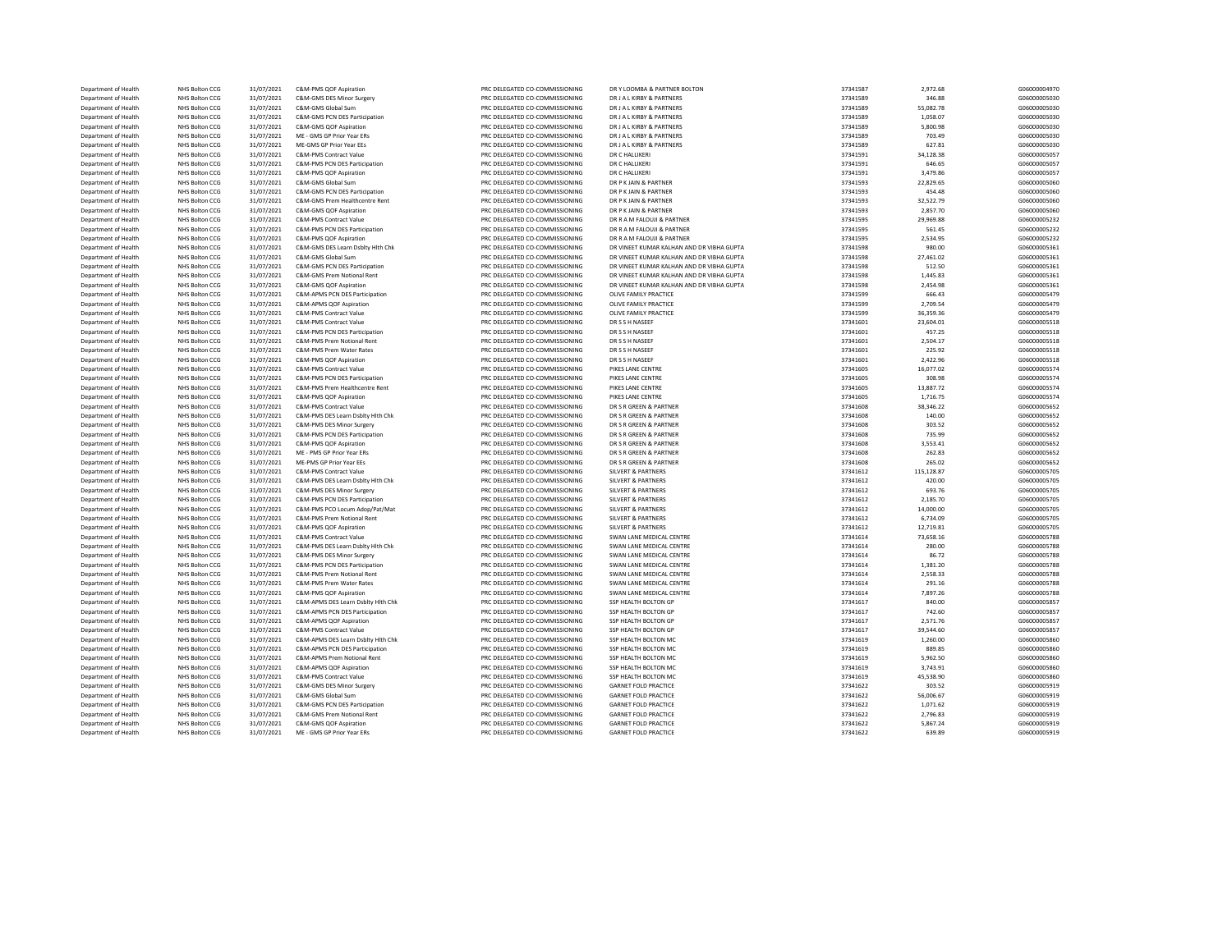| Department of Health | <b>NHS Bolton CCG</b> | 31/07/2021 | C&M-PMS QOF Aspiration             | PRC DELEGATED CO-COMMISSIONING | DR Y LOOMBA & PARTNER BOLTON              | 37341587 | 2,972.68   | G06000004970 |
|----------------------|-----------------------|------------|------------------------------------|--------------------------------|-------------------------------------------|----------|------------|--------------|
| Department of Health | NHS Bolton CCG        | 31/07/2021 | C&M-GMS DES Minor Surgery          | PRC DELEGATED CO-COMMISSIONING | DR J A L KIRBY & PARTNERS                 | 37341589 | 346.88     | G06000005030 |
| Department of Health | NHS Bolton CCG        | 31/07/2021 | C&M-GMS Global Sum                 | PRC DELEGATED CO-COMMISSIONING | DR J A L KIRBY & PARTNERS                 | 37341589 | 55,082.78  | G06000005030 |
| Department of Health | NHS Bolton CCG        | 31/07/2021 | C&M-GMS PCN DES Participation      | PRC DELEGATED CO-COMMISSIONING | DR J A L KIRBY & PARTNERS                 | 37341589 | 1,058.07   | G06000005030 |
| Department of Health | NHS Bolton CCG        | 31/07/2021 | C&M-GMS QOF Aspiration             | PRC DELEGATED CO-COMMISSIONING | DR J A L KIRBY & PARTNERS                 | 37341589 | 5,800.98   | G06000005030 |
| Department of Health | NHS Bolton CCG        | 31/07/2021 | ME - GMS GP Prior Year ERs         | PRC DELEGATED CO-COMMISSIONING | DR J A L KIRBY & PARTNERS                 | 37341589 | 703.49     | G06000005030 |
| Department of Health | NHS Bolton CCG        | 31/07/2021 | ME-GMS GP Prior Year EEs           | PRC DELEGATED CO-COMMISSIONING | DR J A L KIRBY & PARTNERS                 | 37341589 | 627.81     | G06000005030 |
| Department of Health | NHS Bolton CCG        | 31/07/2021 | C&M-PMS Contract Value             | PRC DELEGATED CO-COMMISSIONING | DR C HALLIKERI                            | 37341591 | 34,128.38  | G06000005057 |
| Department of Health | NHS Bolton CCG        | 31/07/2021 | C&M-PMS PCN DES Participation      | PRC DELEGATED CO-COMMISSIONING | DR C HALLIKERI                            | 37341591 | 646.65     | G06000005057 |
| Department of Health | NHS Bolton CCG        | 31/07/2021 | C&M-PMS QOF Aspiration             | PRC DELEGATED CO-COMMISSIONING | DR C HALLIKERI                            | 37341591 | 3,479.86   | G06000005057 |
| Department of Health | NHS Bolton CCG        | 31/07/2021 | C&M-GMS Global Sum                 | PRC DELEGATED CO-COMMISSIONING | DR P K JAIN & PARTNER                     | 37341593 | 22,829.65  | G06000005060 |
| Department of Health | <b>NHS Bolton CCG</b> | 31/07/2021 | C&M-GMS PCN DES Participation      | PRC DELEGATED CO-COMMISSIONING | DR P K JAIN & PARTNER                     | 37341593 | 454.48     | G06000005060 |
| Department of Health | NHS Bolton CCG        | 31/07/2021 | C&M-GMS Prem Healthcentre Rent     | PRC DELEGATED CO-COMMISSIONING | DR P K JAIN & PARTNER                     | 37341593 | 32,522.79  | G06000005060 |
| Department of Health | NHS Bolton CCG        | 31/07/2021 | C&M-GMS QOF Aspiration             | PRC DELEGATED CO-COMMISSIONING | DR P K JAIN & PARTNER                     | 37341593 | 2,857.70   | G06000005060 |
| Department of Health | NHS Bolton CCG        | 31/07/2021 | C&M-PMS Contract Value             | PRC DELEGATED CO-COMMISSIONING | DR R A M FALOUJI & PARTNER                | 37341595 | 29,969.88  | G06000005232 |
| Department of Health | NHS Bolton CCG        | 31/07/2021 | C&M-PMS PCN DES Participation      | PRC DELEGATED CO-COMMISSIONING | DR R A M FALOUJI & PARTNER                | 37341595 | 561.45     | G06000005232 |
| Department of Health | NHS Bolton CCG        | 31/07/2021 | C&M-PMS QOF Aspiration             | PRC DELEGATED CO-COMMISSIONING | DR R A M FALOUJI & PARTNER                | 37341595 | 2,534.95   | G06000005232 |
| Department of Health | NHS Bolton CCG        | 31/07/2021 | C&M-GMS DES Learn Dsblty Hlth Chk  | PRC DELEGATED CO-COMMISSIONING | DR VINEET KUMAR KALHAN AND DR VIRHA GUPTA | 37341598 | 980.00     | G06000005361 |
|                      |                       |            |                                    |                                |                                           |          |            |              |
| Department of Health | NHS Bolton CCG        | 31/07/2021 | C&M-GMS Global Sum                 | PRC DELEGATED CO-COMMISSIONING | DR VINEET KUMAR KALHAN AND DR VIBHA GUPTA | 37341598 | 27,461.02  | G06000005361 |
| Department of Health | NHS Bolton CCG        | 31/07/2021 | C&M-GMS PCN DES Participation      | PRC DELEGATED CO-COMMISSIONING | DR VINEET KUMAR KALHAN AND DR VIBHA GUPTA | 37341598 | 512.50     | G06000005361 |
| Department of Health | NHS Bolton CCG        | 31/07/2021 | C&M-GMS Prem Notional Rent         | PRC DELEGATED CO-COMMISSIONING | DR VINEET KUMAR KALHAN AND DR VIBHA GUPTA | 37341598 | 1,445.83   | G06000005361 |
| Department of Health | NHS Bolton CCG        | 31/07/2021 | C&M-GMS QOF Aspiration             | PRC DELEGATED CO-COMMISSIONING | DR VINEET KUMAR KALHAN AND DR VIBHA GUPTA | 37341598 | 2.454.98   | G06000005361 |
| Department of Health | NHS Bolton CCG        | 31/07/2021 | C&M-APMS PCN DES Participation     | PRC DELEGATED CO-COMMISSIONING | OLIVE FAMILY PRACTICE                     | 37341599 | 666.43     | G06000005479 |
| Department of Health | NHS Bolton CCG        | 31/07/2021 | C&M-APMS QOF Aspiration            | PRC DELEGATED CO-COMMISSIONING | OLIVE FAMILY PRACTICE                     | 37341599 | 2,709.54   | G06000005479 |
| Department of Health | NHS Bolton CCG        | 31/07/2021 | C&M-PMS Contract Value             | PRC DELEGATED CO-COMMISSIONING | OLIVE FAMILY PRACTICE                     | 37341599 | 36.359.36  | G06000005479 |
| Department of Health | NHS Bolton CCG        | 31/07/2021 | <b>C&amp;M-PMS Contract Value</b>  | PRC DELEGATED CO-COMMISSIONING | DR S S H NASEEF                           | 37341601 | 23,604.01  | G06000005518 |
| Department of Health | NHS Bolton CCG        | 31/07/2021 | C&M-PMS PCN DES Participation      | PRC DELEGATED CO-COMMISSIONING | DR S S H NASEEF                           | 37341601 | 457.25     | G06000005518 |
| Department of Health | NHS Bolton CCG        | 31/07/2021 | C&M-PMS Prem Notional Rent         | PRC DELEGATED CO-COMMISSIONING | DR S S H NASEEF                           | 37341601 | 2,504.17   | G06000005518 |
| Department of Health | <b>NHS Bolton CCG</b> | 31/07/2021 | C&M-PMS Prem Water Rates           | PRC DELEGATED CO-COMMISSIONING | DR S S H NASEEF                           | 37341601 | 225.92     | G06000005518 |
| Department of Health | NHS Bolton CCG        | 31/07/2021 | C&M-PMS QOF Aspiration             | PRC DELEGATED CO-COMMISSIONING | DR S S H NASEEF                           | 37341601 | 2,422.96   | G06000005518 |
| Department of Health | NHS Bolton CCG        | 31/07/2021 | C&M-PMS Contract Value             | PRC DELEGATED CO-COMMISSIONING | PIKES LANE CENTRE                         | 37341605 | 16,077.02  | G06000005574 |
| Department of Health | NHS Bolton CCG        | 31/07/2021 | C&M-PMS PCN DES Participation      | PRC DELEGATED CO-COMMISSIONING | PIKES LANE CENTRE                         | 37341605 | 308.98     | G06000005574 |
| Department of Health | NHS Bolton CCG        | 31/07/2021 | C&M-PMS Prem Healthcentre Rent     | PRC DELEGATED CO-COMMISSIONING | PIKES LANE CENTRE                         | 37341605 | 13,887.72  | G06000005574 |
| Department of Health | NHS Bolton CCG        | 31/07/2021 | C&M-PMS QOF Aspiration             | PRC DELEGATED CO-COMMISSIONING | PIKES LANE CENTRE                         | 37341605 | 1,716.75   | G06000005574 |
| Department of Health | NHS Bolton CCG        | 31/07/2021 | C&M-PMS Contract Value             | PRC DELEGATED CO-COMMISSIONING | DR S R GREEN & PARTNER                    | 37341608 | 38,346.22  | G06000005652 |
| Department of Health | NHS Bolton CCG        | 31/07/2021 | C&M-PMS DES Learn Dsblty Hlth Chk  | PRC DELEGATED CO-COMMISSIONING | DR S R GREEN & PARTNER                    | 37341608 | 140.00     | G06000005652 |
| Department of Health | NHS Bolton CCG        | 31/07/2021 | C&M-PMS DES Minor Surgery          | PRC DELEGATED CO-COMMISSIONING | DR S R GREEN & PARTNER                    | 37341608 | 303.52     | G06000005652 |
| Department of Health | NHS Bolton CCG        | 31/07/2021 | C&M-PMS PCN DES Participation      | PRC DELEGATED CO-COMMISSIONING | DR S R GREEN & PARTNER                    | 37341608 | 735.99     | G06000005652 |
| Department of Health | NHS Bolton CCG        | 31/07/2021 | C&M-PMS QOF Aspiration             | PRC DELEGATED CO-COMMISSIONING | DR S R GREEN & PARTNER                    | 37341608 | 3,553.41   | G06000005652 |
| Department of Health | NHS Bolton CCG        | 31/07/2021 | ME - PMS GP Prior Year ERs         | PRC DELEGATED CO-COMMISSIONING | DR S R GREEN & PARTNER                    | 37341608 | 262.83     | G06000005652 |
| Department of Health | NHS Bolton CCG        | 31/07/2021 | ME-PMS GP Prior Year EEs           | PRC DELEGATED CO-COMMISSIONING | DR S R GREEN & PARTNER                    | 37341608 | 265.02     | G06000005652 |
| Department of Health | NHS Bolton CCG        | 31/07/2021 | C&M-PMS Contract Value             | PRC DELEGATED CO-COMMISSIONING | <b>SILVERT &amp; PARTNERS</b>             | 37341612 | 115,128.87 | G06000005705 |
| Department of Health | NHS Bolton CCG        | 31/07/2021 | C&M-PMS DES Learn Dsblty Hlth Chk  | PRC DELEGATED CO-COMMISSIONING | SILVERT & PARTNERS                        | 37341612 | 420.00     | G06000005705 |
| Department of Health | NHS Bolton CCG        | 31/07/2021 | C&M-PMS DES Minor Surgery          | PRC DELEGATED CO-COMMISSIONING | <b>SILVERT &amp; PARTNERS</b>             | 37341612 | 693.76     | G06000005705 |
| Department of Health | <b>NHS Bolton CCG</b> | 31/07/2021 | C&M-PMS PCN DES Participation      | PRC DELEGATED CO-COMMISSIONING | <b>SILVERT &amp; PARTNERS</b>             | 37341612 | 2,185.70   | G06000005705 |
| Department of Health | NHS Bolton CCG        | 31/07/2021 | C&M-PMS PCO Locum Adop/Pat/Mat     | PRC DELEGATED CO-COMMISSIONING | <b>SILVERT &amp; PARTNERS</b>             | 37341612 | 14,000.00  | G06000005705 |
| Department of Health | NHS Bolton CCG        | 31/07/2021 | C&M-PMS Prem Notional Rent         | PRC DELEGATED CO-COMMISSIONING | <b>SILVERT &amp; PARTNERS</b>             | 37341612 | 6,734.09   | G06000005705 |
| Department of Health | NHS Bolton CCG        | 31/07/2021 | C&M-PMS QOF Aspiration             | PRC DELEGATED CO-COMMISSIONING | <b>SILVERT &amp; PARTNERS</b>             | 37341612 | 12,719.81  | G06000005705 |
| Department of Health | NHS Bolton CCG        | 31/07/2021 | C&M-PMS Contract Value             | PRC DELEGATED CO-COMMISSIONING | SWAN LANE MEDICAL CENTRE                  | 37341614 | 73,658.16  | G06000005788 |
| Department of Health | NHS Bolton CCG        | 31/07/2021 | C&M-PMS DES Learn Dsblty Hlth Chk  | PRC DELEGATED CO-COMMISSIONING | SWAN LANE MEDICAL CENTRE                  | 37341614 | 280.00     | G06000005788 |
|                      |                       |            |                                    |                                |                                           |          |            |              |
| Department of Health | NHS Bolton CCG        | 31/07/2021 | C&M-PMS DES Minor Surgery          | PRC DELEGATED CO-COMMISSIONING | SWAN LANE MEDICAL CENTRE                  | 37341614 | 86.72      | G06000005788 |
| Department of Health | NHS Bolton CCG        | 31/07/2021 | C&M-PMS PCN DES Participation      | PRC DELEGATED CO-COMMISSIONING | SWAN LANE MEDICAL CENTRE                  | 37341614 | 1,381.20   | G06000005788 |
| Department of Health | NHS Bolton CCG        | 31/07/2021 | C&M-PMS Prem Notional Rent         | PRC DELEGATED CO-COMMISSIONING | SWAN LANE MEDICAL CENTRE                  | 37341614 | 2,558.33   | G06000005788 |
| Department of Health | NHS Bolton CCG        | 31/07/2021 | C&M-PMS Prem Water Rates           | PRC DELEGATED CO-COMMISSIONING | SWAN LANE MEDICAL CENTRE                  | 37341614 | 291.16     | G06000005788 |
| Department of Health | NHS Bolton CCG        | 31/07/2021 | C&M-PMS QOF Aspiration             | PRC DELEGATED CO-COMMISSIONING | SWAN LANE MEDICAL CENTRE                  | 37341614 | 7,897.26   | G06000005788 |
| Department of Health | NHS Bolton CCG        | 31/07/2021 | C&M-APMS DES Learn Dsblty Hith Chk | PRC DELEGATED CO-COMMISSIONING | SSP HEALTH BOLTON GP                      | 37341617 | 840.00     | G06000005857 |
| Department of Health | NHS Bolton CCG        | 31/07/2021 | C&M-APMS PCN DES Participation     | PRC DELEGATED CO-COMMISSIONING | SSP HEALTH BOLTON GP                      | 37341617 | 742.60     | G06000005857 |
| Department of Health | NHS Bolton CCG        | 31/07/2021 | C&M-APMS QOF Aspiration            | PRC DELEGATED CO-COMMISSIONING | <b>SSP HEALTH BOLTON GP</b>               | 37341617 | 2,571.76   | G06000005857 |
| Department of Health | NHS Bolton CCG        | 31/07/2021 | C&M-PMS Contract Value             | PRC DELEGATED CO-COMMISSIONING | SSP HEALTH BOLTON GP                      | 37341617 | 39,544.60  | G06000005857 |
| Department of Health | NHS Bolton CCG        | 31/07/2021 | C&M-APMS DES Learn Dsblty Hith Chk | PRC DELEGATED CO-COMMISSIONING | SSP HEALTH BOLTON MC                      | 37341619 | 1,260.00   | G06000005860 |
| Department of Health | NHS Bolton CCG        | 31/07/2021 | C&M-APMS PCN DES Participation     | PRC DELEGATED CO-COMMISSIONING | SSP HEALTH BOLTON MC                      | 37341619 | 889.85     | G06000005860 |
| Department of Health | NHS Bolton CCG        | 31/07/2021 | C&M-APMS Prem Notional Rent        | PRC DELEGATED CO-COMMISSIONING | SSP HEALTH BOLTON MC                      | 37341619 | 5,962.50   | G06000005860 |
| Department of Health | NHS Bolton CCG        | 31/07/2021 | C&M-APMS QOF Aspiration            | PRC DELEGATED CO-COMMISSIONING | SSP HEALTH BOLTON MC                      | 37341619 | 3,743.91   | G06000005860 |
| Department of Health | NHS Bolton CCG        | 31/07/2021 | <b>C&amp;M-PMS Contract Value</b>  | PRC DELEGATED CO-COMMISSIONING | SSP HEALTH BOLTON MC                      | 37341619 | 45.538.90  | G06000005860 |
| Department of Health | NHS Bolton CCG        | 31/07/2021 | C&M-GMS DES Minor Surgery          | PRC DELEGATED CO-COMMISSIONING | <b>GARNET FOLD PRACTICE</b>               | 37341622 | 303.52     | G06000005919 |
| Department of Health | NHS Bolton CCG        | 31/07/2021 | C&M-GMS Global Sum                 | PRC DELEGATED CO-COMMISSIONING | <b>GARNET FOLD PRACTICE</b>               | 37341622 | 56,006.67  | G06000005919 |
| Department of Health | NHS Bolton CCG        | 31/07/2021 | C&M-GMS PCN DES Participation      | PRC DELEGATED CO-COMMISSIONING | <b>GARNET FOLD PRACTICE</b>               | 37341622 | 1,071.62   | G06000005919 |
| Department of Health | NHS Bolton CCG        | 31/07/2021 | C&M-GMS Prem Notional Rent         | PRC DELEGATED CO-COMMISSIONING | <b>GARNET FOLD PRACTICE</b>               | 37341622 | 2,796.83   | G06000005919 |
| Department of Health | NHS Bolton CCG        | 31/07/2021 | C&M-GMS QOF Aspiration             | PRC DELEGATED CO-COMMISSIONING | <b>GARNET FOLD PRACTICE</b>               | 37341622 | 5,867.24   | G06000005919 |
| Department of Health | NHS Bolton CCG        | 31/07/2021 | ME - GMS GP Prior Year ERs         | PRC DELEGATED CO-COMMISSIONING | <b>GARNET FOLD PRACTICE</b>               | 37341622 | 639.89     | G06000005919 |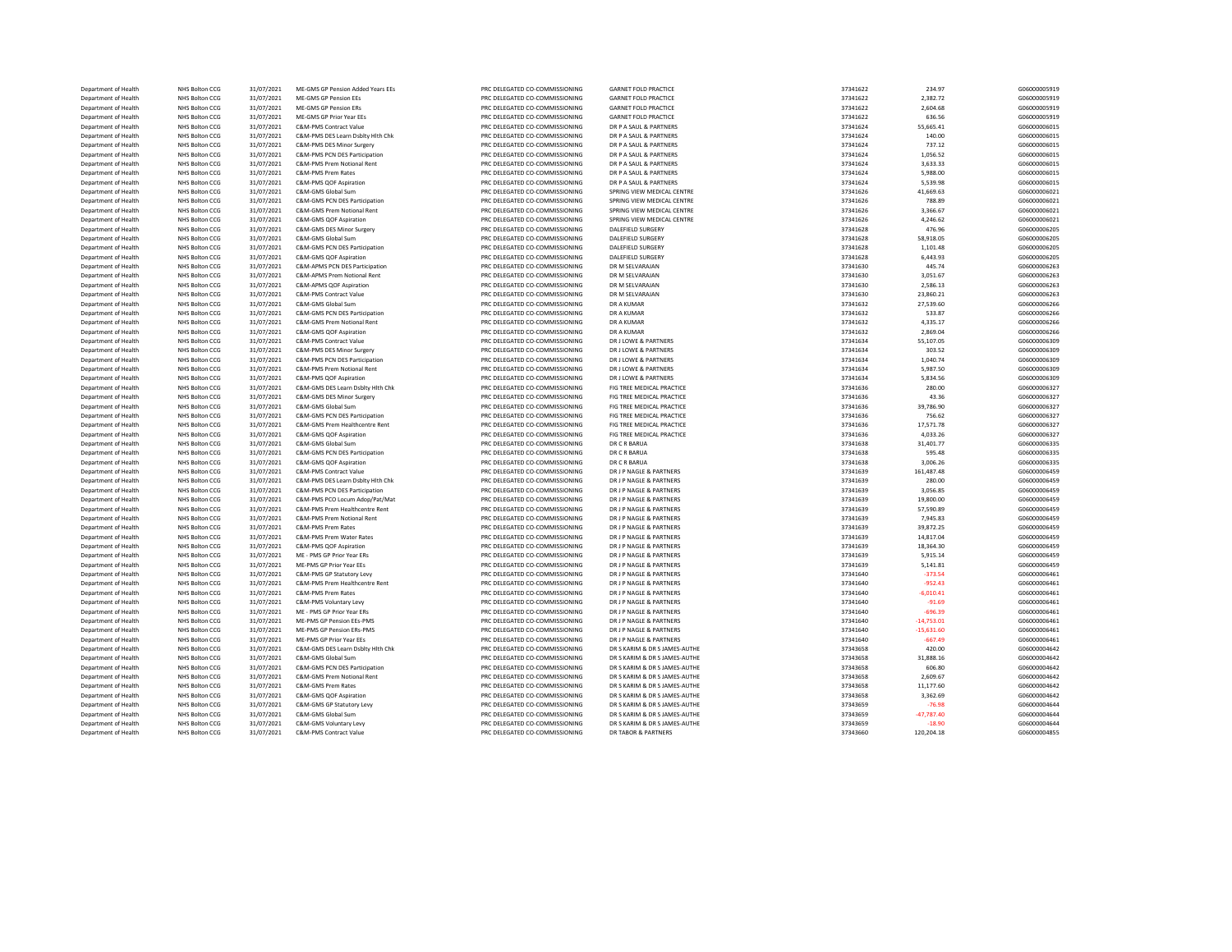| Department of Health | NHS Bolton CCG        | 31/07/2021               | ME-GMS GP Pension Added Years EEs | PRC DELEGATED CO-COMMISSIONING                                   | <b>GARNET FOLD PRACTICE</b>   | 37341622             | 234.97                 | G06000005919                 |
|----------------------|-----------------------|--------------------------|-----------------------------------|------------------------------------------------------------------|-------------------------------|----------------------|------------------------|------------------------------|
| Department of Health | NHS Bolton CCG        | 31/07/2021               | ME-GMS GP Pension EEs             | PRC DELEGATED CO-COMMISSIONING                                   | <b>GARNET FOLD PRACTICE</b>   | 37341622             | 2,382.72               | G06000005919                 |
| Department of Health | NHS Bolton CCG        | 31/07/2021               | ME-GMS GP Pension FRS             | PRC DELEGATED CO-COMMISSIONING                                   | <b>GARNET FOLD PRACTICE</b>   | 37341622             | 2.604.68               | G06000005919                 |
|                      |                       |                          |                                   |                                                                  |                               |                      |                        |                              |
| Department of Health | NHS Bolton CCG        | 31/07/2021               | ME-GMS GP Prior Year EEs          | PRC DELEGATED CO-COMMISSIONING                                   | <b>GARNET FOLD PRACTICE</b>   | 37341622             | 636.56                 | G06000005919                 |
| Department of Health | <b>NHS Bolton CCG</b> | 31/07/2021               | C&M-PMS Contract Value            | PRC DELEGATED CO-COMMISSIONING                                   | DR P A SAUL & PARTNERS        | 37341624             | 55,665.41              | G06000006015                 |
| Department of Health | NHS Bolton CCG        | 31/07/2021               | C&M-PMS DES Learn Dsblty Hlth Chk | PRC DELEGATED CO-COMMISSIONING                                   | DR P A SAUL & PARTNERS        | 37341624             | 140.00                 | G06000006015                 |
| Department of Health | NHS Bolton CCG        | 31/07/2021               | C&M-PMS DES Minor Surgery         | PRC DELEGATED CO-COMMISSIONING                                   | DR P A SAUL & PARTNERS        | 37341624             | 737.12                 | G06000006015                 |
| Department of Health | NHS Bolton CCG        | 31/07/2021               | C&M-PMS PCN DES Participation     | PRC DELEGATED CO-COMMISSIONING                                   | DR P A SAUL & PARTNERS        | 37341624             | 1,056.52               | G06000006015                 |
| Department of Health | NHS Bolton CCG        | 31/07/2021               | C&M-PMS Prem Notional Rent        | PRC DELEGATED CO-COMMISSIONING                                   | DR P A SAUL & PARTNERS        | 37341624             | 3,633.33               | G06000006015                 |
| Department of Health | NHS Bolton CCG        | 31/07/2021               | C&M-PMS Prem Rates                | PRC DELEGATED CO-COMMISSIONING                                   | DR P A SAUL & PARTNERS        | 37341624             | 5,988.00               | G06000006015                 |
|                      |                       |                          |                                   |                                                                  |                               |                      |                        |                              |
| Department of Health | NHS Bolton CCG        | 31/07/2021               | C&M-PMS QOF Aspiration            | PRC DELEGATED CO-COMMISSIONING                                   | DR P A SAUL & PARTNERS        | 37341624             | 5,539.98               | G06000006015                 |
| Department of Health | NHS Bolton CCG        | 31/07/2021               | C&M-GMS Global Sum                | PRC DELEGATED CO-COMMISSIONING                                   | SPRING VIEW MEDICAL CENTRE    | 37341626             | 41,669.63              | G06000006021                 |
| Department of Health | NHS Bolton CCG        | 31/07/2021               | C&M-GMS PCN DES Participation     | PRC DELEGATED CO-COMMISSIONING                                   | SPRING VIEW MEDICAL CENTRE    | 37341626             | 788.89                 | G06000006021                 |
| Department of Health | NHS Bolton CCG        | 31/07/2021               | C&M-GMS Prem Notional Rent        | PRC DELEGATED CO-COMMISSIONING                                   | SPRING VIEW MEDICAL CENTRE    | 37341626             | 3,366.67               | G06000006021                 |
| Department of Health | NHS Bolton CCG        | 31/07/2021               | C&M-GMS QOF Aspiration            | PRC DELEGATED CO-COMMISSIONING                                   | SPRING VIEW MEDICAL CENTRE    | 37341626             | 4,246.62               | G06000006021                 |
| Department of Health | NHS Bolton CCG        | 31/07/2021               | C&M-GMS DES Minor Surgery         | PRC DELEGATED CO-COMMISSIONING                                   | DALEFIELD SURGERY             | 37341628             | 476.96                 | G06000006205                 |
| Department of Health | <b>NHS Bolton CCG</b> | 31/07/2021               | C&M-GMS Global Sum                | PRC DELEGATED CO-COMMISSIONING                                   | DALEFIELD SURGERY             | 37341628             | 58,918.05              | G06000006205                 |
|                      |                       |                          |                                   |                                                                  |                               |                      |                        |                              |
| Department of Health | NHS Bolton CCG        | 31/07/2021               | C&M-GMS PCN DES Participation     | PRC DELEGATED CO-COMMISSIONING                                   | DALEFIELD SURGERY             | 37341628             | 1,101.48               | G06000006205                 |
| Department of Health | NHS Bolton CCG        | 31/07/2021               | C&M-GMS QOF Aspiration            | PRC DELEGATED CO-COMMISSIONING                                   | <b>DALEFIELD SURGERY</b>      | 37341628             | 6,443.93               | G06000006205                 |
| Department of Health | NHS Bolton CCG        | 31/07/2021               | C&M-APMS PCN DES Participation    | PRC DELEGATED CO-COMMISSIONING                                   | DR M SFI VARAIAN              | 37341630             | 445.74                 | G06000006263                 |
| Department of Health | NHS Bolton CCG        | 31/07/2021               | C&M-APMS Prem Notional Rent       | PRC DELEGATED CO-COMMISSIONING                                   | DR M SELVARAJAN               | 37341630             | 3,051.67               | G06000006263                 |
| Department of Health | NHS Bolton CCG        | 31/07/2021               | C&M-APMS QOF Aspiration           | PRC DELEGATED CO-COMMISSIONING                                   | DR M SELVARAJAN               | 37341630             | 2,586.13               | G06000006263                 |
| Department of Health | NHS Bolton CCG        | 31/07/2021               | C&M-PMS Contract Value            | PRC DELEGATED CO-COMMISSIONING                                   | DR M SELVARAJAN               | 37341630             | 23,860.21              | G06000006263                 |
|                      | NHS Bolton CCG        | 31/07/2021               | C&M-GMS Global Sum                | PRC DELEGATED CO-COMMISSIONING                                   | DR A KUMAR                    | 37341632             | 27,539.60              | G06000006266                 |
| Department of Health |                       |                          |                                   |                                                                  |                               |                      |                        |                              |
| Department of Health | NHS Bolton CCG        | 31/07/2021               | C&M-GMS PCN DES Participation     | PRC DELEGATED CO-COMMISSIONING                                   | <b>DR A KUMAR</b>             | 37341632             | 533.87                 | G06000006266                 |
| Department of Health | NHS Bolton CCG        | 31/07/2021               | C&M-GMS Prem Notional Rent        | PRC DELEGATED CO-COMMISSIONING                                   | <b>DR A KUMAR</b>             | 37341632             | 4,335.17               | G06000006266                 |
| Department of Health | NHS Bolton CCG        | 31/07/2021               | C&M-GMS OOF Asniration            | PRC DELEGATED CO-COMMISSIONING                                   | <b>DR A KUMAR</b>             | 37341632             | 2,869.04               | G06000006266                 |
| Department of Health | <b>NHS Bolton CCG</b> | 31/07/2021               | <b>C&amp;M-PMS Contract Value</b> | PRC DELEGATED CO-COMMISSIONING                                   | DR J LOWE & PARTNERS          | 37341634             | 55,107.05              | G06000006309                 |
| Department of Health | NHS Bolton CCG        | 31/07/2021               | C&M-PMS DES Minor Surgery         | PRC DELEGATED CO-COMMISSIONING                                   | DR J LOWE & PARTNERS          | 37341634             | 303.52                 | G06000006309                 |
| Department of Health | NHS Bolton CCG        | 31/07/2021               | C&M-PMS PCN DES Participation     | PRC DELEGATED CO-COMMISSIONING                                   | DR J LOWE & PARTNERS          | 37341634             | 1,040.74               | G06000006309                 |
|                      |                       |                          | C&M-PMS Prem Notional Rent        | PRC DELEGATED CO-COMMISSIONING                                   | DR J LOWE & PARTNERS          | 37341634             | 5,987.50               | G06000006309                 |
| Department of Health | NHS Bolton CCG        | 31/07/2021               |                                   |                                                                  |                               |                      |                        |                              |
| Department of Health | NHS Bolton CCG        | 31/07/2021               | C&M-PMS QOF Aspiration            | PRC DELEGATED CO-COMMISSIONING                                   | DR J LOWE & PARTNERS          | 37341634             | 5,834.56               | G06000006309                 |
| Department of Health | NHS Bolton CCG        | 31/07/2021               | C&M-GMS DES Learn Dsblty Hlth Chk | PRC DELEGATED CO-COMMISSIONING                                   | FIG TREE MEDICAL PRACTICE     | 37341636             | 280.00                 | G06000006327                 |
| Department of Health | NHS Bolton CCG        | 31/07/2021               | C&M-GMS DES Minor Surgery         | PRC DELEGATED CO-COMMISSIONING                                   | FIG TREE MEDICAL PRACTICE     | 37341636             | 43.36                  | G06000006327                 |
| Department of Health | NHS Bolton CCG        | 31/07/2021               | C&M-GMS Global Sum                | PRC DELEGATED CO-COMMISSIONING                                   | FIG TREE MEDICAL PRACTICE     | 37341636             | 39,786.90              | G06000006327                 |
| Department of Health | NHS Bolton CCG        | 31/07/2021               | C&M-GMS PCN DES Participation     | PRC DELEGATED CO-COMMISSIONING                                   | FIG TREE MEDICAL PRACTICE     | 37341636             | 756.62                 | G06000006327                 |
| Department of Health | NHS Bolton CCG        | 31/07/2021               | C&M-GMS Prem Healthcentre Rent    | PRC DELEGATED CO-COMMISSIONING                                   | FIG TREE MEDICAL PRACTICE     | 37341636             | 17,571.78              | G06000006327                 |
|                      |                       |                          |                                   |                                                                  |                               |                      |                        |                              |
| Department of Health | NHS Bolton CCG        | 31/07/2021               | C&M-GMS QOF Aspiration            | PRC DELEGATED CO-COMMISSIONING                                   | FIG TREE MEDICAL PRACTICE     | 37341636             | 4,033.26               | G06000006327                 |
| Department of Health | NHS Bolton CCG        | 31/07/2021               | C&M-GMS Global Sum                | PRC DELEGATED CO-COMMISSIONING                                   | DR C R BARUA                  | 37341638             | 31,401.77              | G06000006335                 |
| Department of Health | NHS Bolton CCG        | 31/07/2021               | C&M-GMS PCN DES Participation     | PRC DELEGATED CO-COMMISSIONING                                   | DR C R BARUA                  | 37341638             | 595.48                 | G06000006335                 |
| Department of Health | NHS Bolton CCG        | 31/07/2021               | C&M-GMS QOF Aspiration            | PRC DELEGATED CO-COMMISSIONING                                   | DR C R BARUA                  | 37341638             | 3,006.26               | G06000006335                 |
| Department of Health | NHS Bolton CCG        | 31/07/2021               | C&M-PMS Contract Value            | PRC DELEGATED CO-COMMISSIONING                                   | DR J P NAGLE & PARTNERS       | 37341639             | 161,487.48             | G06000006459                 |
| Department of Health | NHS Bolton CCG        | 31/07/2021               | C&M-PMS DES Learn Dsblty Hlth Chk | PRC DELEGATED CO-COMMISSIONING                                   | DR J P NAGLE & PARTNERS       | 37341639             | 280.00                 | G06000006459                 |
| Department of Health | NHS Bolton CCG        | 31/07/2021               | C&M-PMS PCN DES Participation     | PRC DELEGATED CO-COMMISSIONING                                   | DR I P NAGLE & PARTNERS       | 37341639             | 3,056.85               | G06000006459                 |
|                      |                       | 31/07/2021               |                                   |                                                                  |                               |                      | 19,800.00              | G06000006459                 |
| Department of Health | NHS Bolton CCG        |                          | C&M-PMS PCO Locum Adop/Pat/Mat    | PRC DELEGATED CO-COMMISSIONING                                   | DR J P NAGLE & PARTNERS       | 37341639             |                        |                              |
| Department of Health | NHS Bolton CCG        | 31/07/2021               | C&M-PMS Prem Healthcentre Rent    | PRC DELEGATED CO-COMMISSIONING                                   | DR J P NAGLE & PARTNERS       | 37341639             | 57,590.89              | G06000006459                 |
| Department of Health | NHS Bolton CCG        | 31/07/2021               | C&M-PMS Prem Notional Rent        | PRC DELEGATED CO-COMMISSIONING                                   | DR J P NAGLE & PARTNERS       | 37341639             | 7,945.83               | G06000006459                 |
| Department of Health | NHS Bolton CCG        | 31/07/2021               | C&M-PMS Prem Rates                | PRC DELEGATED CO-COMMISSIONING                                   | DR J P NAGLE & PARTNERS       | 37341639             | 39,872.25              | G06000006459                 |
| Department of Health | NHS Bolton CCG        | 31/07/2021               | C&M-PMS Prem Water Rates          | PRC DELEGATED CO-COMMISSIONING                                   | DR J P NAGLE & PARTNERS       | 37341639             | 14,817.04              | G06000006459                 |
| Department of Health | NHS Bolton CCG        | 31/07/2021               | C&M-PMS QOF Aspiration            | PRC DELEGATED CO-COMMISSIONING                                   | DR J P NAGLE & PARTNERS       | 37341639             | 18,364.30              | G06000006459                 |
| Department of Health | NHS Bolton CCG        | 31/07/2021               | ME - PMS GP Prior Year ERs        | PRC DELEGATED CO-COMMISSIONING                                   | DR J P NAGLE & PARTNERS       | 37341639             | 5,915.14               | G06000006459                 |
| Department of Health | NHS Bolton CCG        | 31/07/2021               | ME-PMS GP Prior Year EEs          | PRC DELEGATED CO-COMMISSIONING                                   | DR J P NAGLE & PARTNERS       | 37341639             | 5,141.81               | G06000006459                 |
|                      |                       |                          |                                   |                                                                  |                               |                      |                        |                              |
| Department of Health | NHS Bolton CCG        | 31/07/2021               | C&M-PMS GP Statutory Levy         | PRC DELEGATED CO-COMMISSIONING                                   | DR J P NAGLE & PARTNERS       | 37341640             | $-373.54$              | G06000006461                 |
| Department of Health | NHS Bolton CCG        | 31/07/2021               | C&M-PMS Prem Healthcentre Rent    | PRC DELEGATED CO-COMMISSIONING                                   | DR J P NAGLE & PARTNERS       | 37341640             | $-952.43$              | G06000006461                 |
| Department of Health | NHS Bolton CCG        | 31/07/2021               | C&M-PMS Prem Rates                | PRC DELEGATED CO-COMMISSIONING                                   | DR J P NAGLE & PARTNERS       | 37341640             | $-6,010.41$            | G06000006461                 |
| Department of Health | NHS Bolton CCG        | 31/07/2021               | C&M-PMS Voluntary Levy            | PRC DELEGATED CO-COMMISSIONING                                   | DR J P NAGLE & PARTNERS       | 37341640             | $-91.69$               | G06000006461                 |
| Department of Health | NHS Bolton CCG        | 31/07/2021               | ME - PMS GP Prior Year ERs        | PRC DELEGATED CO-COMMISSIONING                                   | DR J P NAGLE & PARTNERS       | 37341640             | $-696.39$              | G06000006461                 |
| Department of Health | NHS Bolton CCG        | 31/07/2021               | ME-PMS GP Pension EEs-PMS         | PRC DELEGATED CO-COMMISSIONING                                   | DR J P NAGLE & PARTNERS       | 37341640             | $-14,753.01$           | G06000006461                 |
| Department of Health | NHS Bolton CCG        | 31/07/2021               | ME-PMS GP Pension ERs-PMS         | PRC DELEGATED CO-COMMISSIONING                                   | DR J P NAGLE & PARTNERS       | 37341640             | $-15,631.60$           | G06000006461                 |
|                      |                       |                          |                                   |                                                                  |                               |                      |                        |                              |
| Department of Health | NHS Bolton CCG        | 31/07/2021               | ME-PMS GP Prior Year EEs          | PRC DELEGATED CO-COMMISSIONING                                   | DR J P NAGLE & PARTNERS       | 37341640             | $-667.49$              | G06000006461                 |
| Department of Health | NHS Bolton CCG        | 31/07/2021               | C&M-GMS DES Learn Dsblty Hlth Chk | PRC DELEGATED CO-COMMISSIONING                                   | DR S KARIM & DR S JAMES-AUTHE | 37343658             | 420.00                 | G06000004642                 |
| Department of Health | NHS Bolton CCG        | 31/07/2021               | C&M-GMS Global Sum                | PRC DELEGATED CO-COMMISSIONING                                   | DR S KARIM & DR S JAMES-AUTHE | 37343658             | 31,888.16              | G06000004642                 |
| Department of Health | NHS Bolton CCG        | 31/07/2021               | C&M-GMS PCN DES Participation     | PRC DELEGATED CO-COMMISSIONING                                   | DR S KARIM & DR S JAMES-AUTHE | 37343658             | 606.80                 | G06000004642                 |
| Department of Health | NHS Bolton CCG        | 31/07/2021               | C&M-GMS Prem Notional Rent        | PRC DELEGATED CO-COMMISSIONING                                   | DR S KARIM & DR S JAMES-AUTHE | 37343658             | 2,609.67               | G06000004642                 |
| Department of Health |                       | 31/07/2021               | C&M-GMS Prem Rates                | PRC DELEGATED CO-COMMISSIONING                                   | DR S KARIM & DR S JAMES-AUTHE | 37343658             | 11,177.60              | G06000004642                 |
|                      |                       |                          |                                   |                                                                  |                               |                      |                        |                              |
|                      | NHS Bolton CCG        |                          |                                   |                                                                  |                               |                      |                        |                              |
| Department of Health | NHS Bolton CCG        | 31/07/2021               | C&M-GMS QOF Aspiration            | PRC DELEGATED CO-COMMISSIONING                                   | DR S KARIM & DR S JAMES-AUTHE | 37343658             | 3,362.69               | G06000004642                 |
| Department of Health | NHS Bolton CCG        | 31/07/2021               | C&M-GMS GP Statutory Levy         | PRC DELEGATED CO-COMMISSIONING                                   | DR S KARIM & DR S JAMES-AUTHE | 37343659             | $-76.98$               | G06000004644                 |
| Department of Health | NHS Bolton CCG        | 31/07/2021               | C&M-GMS Global Sum                | PRC DELEGATED CO-COMMISSIONING                                   | DR S KARIM & DR S JAMES-AUTHE | 37343659             | $-47.787.40$           | G06000004644                 |
| Department of Health | NHS Bolton CCG        | 31/07/2021<br>31/07/2021 | C&M-GMS Voluntary Levy            | PRC DELEGATED CO-COMMISSIONING<br>PRC DELEGATED CO-COMMISSIONING | DR S KARIM & DR S JAMES-AUTHE | 37343659<br>37343660 | $-18.90$<br>120,204.18 | G06000004644<br>G06000004855 |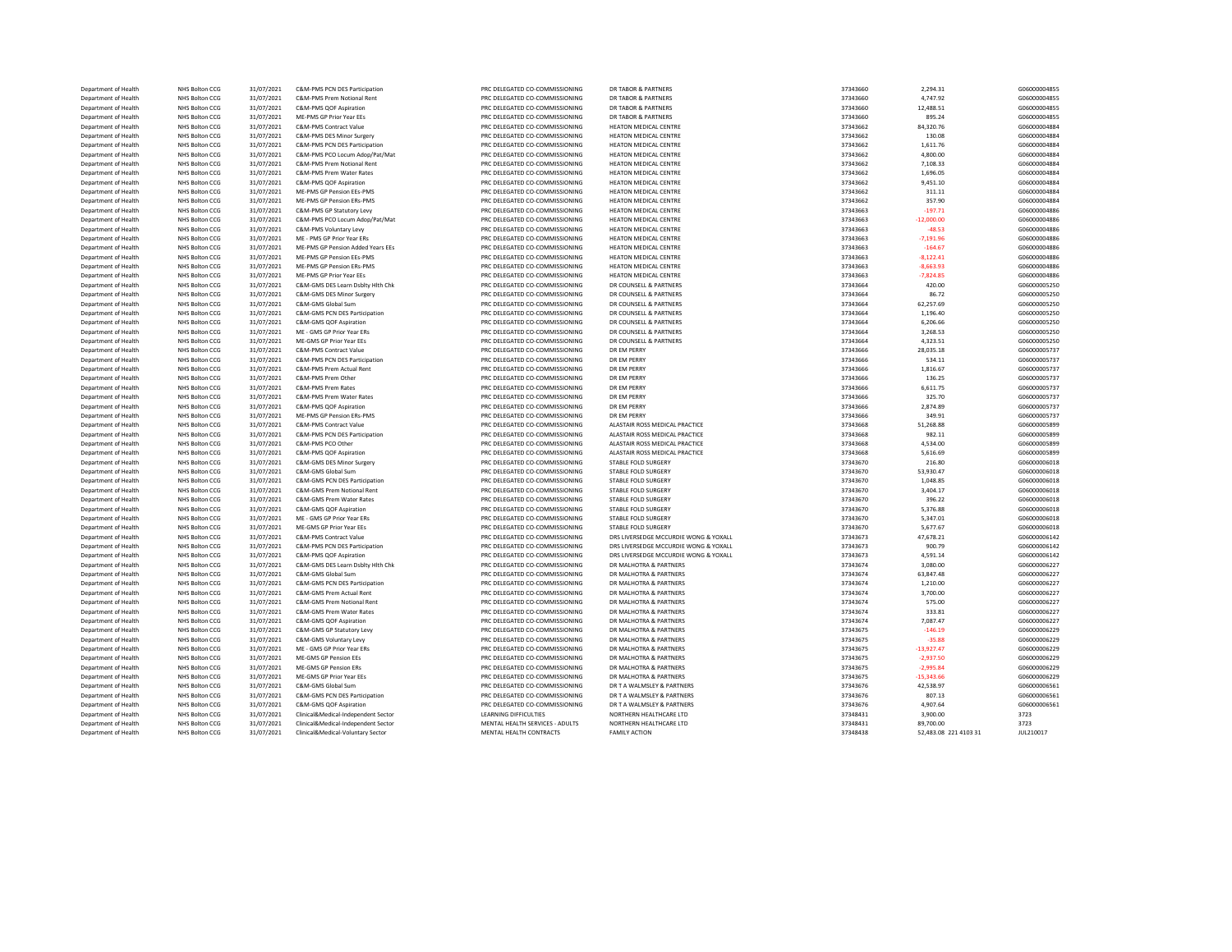| Department of Health | NHS Bolton CCG | 31/07/2021 | C&M-PMS PCN DES Participation       | PRC DELEGATED CO-COMMISSIONING  | <b>DR TABOR &amp; PARTNERS</b>        | 37343660 | 2,294.31              | G06000004855 |
|----------------------|----------------|------------|-------------------------------------|---------------------------------|---------------------------------------|----------|-----------------------|--------------|
| Department of Health | NHS Bolton CCG | 31/07/2021 | C&M-PMS Prem Notional Rent          | PRC DELEGATED CO-COMMISSIONING  | <b>DR TABOR &amp; PARTNERS</b>        | 37343660 | 4.747.92              | G06000004855 |
| Department of Health | NHS Bolton CCG | 31/07/2021 | C&M-PMS QOF Aspiration              | PRC DELEGATED CO-COMMISSIONING  | <b>DR TABOR &amp; PARTNERS</b>        | 37343660 | 12,488.51             | G06000004855 |
| Department of Health | NHS Bolton CCG | 31/07/2021 | ME-PMS GP Prior Year EEs            | PRC DELEGATED CO-COMMISSIONING  | <b>DR TABOR &amp; PARTNERS</b>        | 37343660 | 895.24                | G06000004855 |
| Department of Health | NHS Bolton CCG | 31/07/2021 | C&M-PMS Contract Value              | PRC DELEGATED CO-COMMISSIONING  | HEATON MEDICAL CENTRE                 | 37343662 | 84,320.76             | G06000004884 |
| Department of Health | NHS Bolton CCG | 31/07/2021 | C&M-PMS DES Minor Surgery           | PRC DELEGATED CO-COMMISSIONING  | <b>HEATON MEDICAL CENTRE</b>          | 37343662 | 130.08                | G06000004884 |
|                      |                |            |                                     |                                 |                                       |          |                       |              |
| Department of Health | NHS Bolton CCG | 31/07/2021 | C&M-PMS PCN DES Participation       | PRC DELEGATED CO-COMMISSIONING  | HEATON MEDICAL CENTRE                 | 37343662 | 1,611.76              | G06000004884 |
| Department of Health | NHS Bolton CCG | 31/07/2021 | C&M-PMS PCO Locum Adop/Pat/Mat      | PRC DELEGATED CO-COMMISSIONING  | HEATON MEDICAL CENTRE                 | 37343662 | 4,800.00              | G06000004884 |
| Department of Health | NHS Bolton CCG | 31/07/2021 | C&M-PMS Prem Notional Rent          | PRC DELEGATED CO-COMMISSIONING  | HEATON MEDICAL CENTRE                 | 37343662 | 7,108.33              | G06000004884 |
| Department of Health | NHS Bolton CCG | 31/07/2021 | C&M-PMS Prem Water Rates            | PRC DELEGATED CO-COMMISSIONING  | HEATON MEDICAL CENTRE                 | 37343662 | 1,696.05              | G06000004884 |
| Department of Health | NHS Bolton CCG | 31/07/2021 | C&M-PMS QOF Aspiration              | PRC DELEGATED CO-COMMISSIONING  | HEATON MEDICAL CENTRE                 | 37343662 | 9,451.10              | G06000004884 |
| Department of Health | NHS Bolton CCG | 31/07/2021 | ME-PMS GP Pension EEs-PMS           | PRC DELEGATED CO-COMMISSIONING  | HEATON MEDICAL CENTRE                 | 37343662 | 311.11                | G06000004884 |
| Department of Health | NHS Bolton CCG | 31/07/2021 | ME-PMS GP Pension ERs-PMS           | PRC DELEGATED CO-COMMISSIONING  | HEATON MEDICAL CENTRE                 | 37343662 | 357.90                | G06000004884 |
| Department of Health | NHS Bolton CCG | 31/07/2021 | C&M-PMS GP Statutory Levy           | PRC DELEGATED CO-COMMISSIONING  | HEATON MEDICAL CENTRE                 | 37343663 | $-197.71$             | G06000004886 |
| Department of Health | NHS Bolton CCG | 31/07/2021 | C&M-PMS PCO Locum Adop/Pat/Mat      | PRC DELEGATED CO-COMMISSIONING  | HEATON MEDICAL CENTRE                 | 37343663 | $-12,000.00$          | G06000004886 |
| Department of Health | NHS Bolton CCG | 31/07/2021 | C&M-PMS Voluntary Levy              | PRC DELEGATED CO-COMMISSIONING  | HEATON MEDICAL CENTRE                 | 37343663 | $-48.53$              | G06000004886 |
|                      |                |            |                                     |                                 |                                       |          |                       | G06000004886 |
| Department of Health | NHS Bolton CCG | 31/07/2021 | ME - PMS GP Prior Year ERs          | PRC DELEGATED CO-COMMISSIONING  | HEATON MEDICAL CENTRE                 | 37343663 | $-7,191.96$           |              |
| Department of Health | NHS Bolton CCG | 31/07/2021 | ME-PMS GP Pension Added Years EEs   | PRC DELEGATED CO-COMMISSIONING  | HEATON MEDICAL CENTRE                 | 37343663 | $-164.67$             | G06000004886 |
| Department of Health | NHS Bolton CCG | 31/07/2021 | ME-PMS GP Pension EEs-PMS           | PRC DELEGATED CO-COMMISSIONING  | <b>HEATON MEDICAL CENTRE</b>          | 37343663 | $-8.122.41$           | G06000004886 |
| Department of Health | NHS Bolton CCG | 31/07/2021 | MF-PMS GP Pension FRs-PMS           | PRC DELEGATED CO-COMMISSIONING  | <b>HEATON MEDICAL CENTRE</b>          | 37343663 | $-8,663.93$           | G06000004886 |
| Department of Health | NHS Bolton CCG | 31/07/2021 | ME-PMS GP Prior Year EEs            | PRC DELEGATED CO-COMMISSIONING  | HEATON MEDICAL CENTRE                 | 37343663 | $-7,824.85$           | G06000004886 |
| Department of Health | NHS Bolton CCG | 31/07/2021 | C&M-GMS DES Learn Dsblty Hlth Chk   | PRC DELEGATED CO-COMMISSIONING  | DR COUNSELL & PARTNERS                | 37343664 | 420.00                | G06000005250 |
| Department of Health | NHS Bolton CCG | 31/07/2021 | C&M-GMS DES Minor Surgery           | PRC DELEGATED CO-COMMISSIONING  | DR COUNSELL & PARTNERS                | 37343664 | 86.72                 | G06000005250 |
| Department of Health | NHS Bolton CCG | 31/07/2021 | C&M-GMS Global Sum                  | PRC DELEGATED CO-COMMISSIONING  | DR COUNSELL & PARTNERS                | 37343664 | 62,257.69             | G06000005250 |
| Department of Health | NHS Bolton CCG | 31/07/2021 | C&M-GMS PCN DES Participation       | PRC DELEGATED CO-COMMISSIONING  | DR COUNSELL & PARTNERS                | 37343664 | 1,196.40              | G06000005250 |
| Department of Health | NHS Bolton CCG | 31/07/2021 | C&M-GMS OOF Asniration              | PRC DELEGATED CO-COMMISSIONING  | DR COUNSELL & PARTNERS                | 37343664 | 6,206.66              | G06000005250 |
|                      | NHS Bolton CCG |            | ME - GMS GP Prior Year ERs          |                                 | DR COUNSELL & PARTNERS                |          | 3.268.53              | G06000005250 |
| Department of Health |                | 31/07/2021 |                                     | PRC DELEGATED CO-COMMISSIONING  |                                       | 37343664 |                       |              |
| Department of Health | NHS Bolton CCG | 31/07/2021 | ME-GMS GP Prior Year EEs            | PRC DELEGATED CO-COMMISSIONING  | DR COUNSELL & PARTNERS                | 37343664 | 4,323.51              | G06000005250 |
| Department of Health | NHS Bolton CCG | 31/07/2021 | C&M-PMS Contract Value              | PRC DELEGATED CO-COMMISSIONING  | DR EM PERRY                           | 37343666 | 28,035.18             | G06000005737 |
| Department of Health | NHS Bolton CCG | 31/07/2021 | C&M-PMS PCN DES Participation       | PRC DELEGATED CO-COMMISSIONING  | DR EM PERRY                           | 37343666 | 534.11                | G06000005737 |
| Department of Health | NHS Bolton CCG | 31/07/2021 | C&M-PMS Prem Actual Rent            | PRC DELEGATED CO-COMMISSIONING  | DR EM PERRY                           | 37343666 | 1,816.67              | G06000005737 |
| Department of Health | NHS Bolton CCG | 31/07/2021 | C&M-PMS Prem Other                  | PRC DELEGATED CO-COMMISSIONING  | DR EM PERRY                           | 37343666 | 136.25                | G06000005737 |
| Department of Health | NHS Bolton CCG | 31/07/2021 | C&M-PMS Prem Rates                  | PRC DELEGATED CO-COMMISSIONING  | DR EM PERRY                           | 37343666 | 6,611.75              | G06000005737 |
| Department of Health | NHS Bolton CCG | 31/07/2021 | C&M-PMS Prem Water Rates            | PRC DELEGATED CO-COMMISSIONING  | DR EM PERRY                           | 37343666 | 325.70                | G06000005737 |
| Department of Health | NHS Bolton CCG | 31/07/2021 | C&M-PMS QOF Aspiration              | PRC DELEGATED CO-COMMISSIONING  | DR EM PERRY                           | 37343666 | 2,874.89              | G06000005737 |
| Department of Health | NHS Bolton CCG | 31/07/2021 | ME-PMS GP Pension ERs-PMS           | PRC DELEGATED CO-COMMISSIONING  | DR EM PERRY                           | 37343666 | 349.91                | G06000005737 |
| Department of Health | NHS Bolton CCG | 31/07/2021 | <b>C&amp;M-PMS Contract Value</b>   | PRC DELEGATED CO-COMMISSIONING  | ALASTAIR ROSS MEDICAL PRACTICE        | 37343668 | 51,268.88             | G06000005899 |
| Department of Health | NHS Bolton CCG |            | C&M-PMS PCN DES Participation       | PRC DELEGATED CO-COMMISSIONING  | ALASTAIR ROSS MEDICAL PRACTICE        | 37343668 | 982.11                | G06000005899 |
|                      |                | 31/07/2021 |                                     |                                 |                                       |          |                       |              |
| Department of Health | NHS Bolton CCG | 31/07/2021 | C&M-PMS PCO Other                   | PRC DELEGATED CO-COMMISSIONING  | ALASTAIR ROSS MEDICAL PRACTICE        | 37343668 | 4,534.00              | G06000005899 |
| Department of Health | NHS Bolton CCG | 31/07/2021 | C&M-PMS QOF Aspiration              | PRC DELEGATED CO-COMMISSIONING  | ALASTAIR ROSS MEDICAL PRACTICE        | 37343668 | 5,616.69              | G06000005899 |
| Department of Health | NHS Bolton CCG | 31/07/2021 | C&M-GMS DES Minor Surgery           | PRC DELEGATED CO-COMMISSIONING  | STABLE FOLD SURGERY                   | 37343670 | 216.80                | G06000006018 |
| Department of Health | NHS Bolton CCG | 31/07/2021 | C&M-GMS Global Sum                  | PRC DELEGATED CO-COMMISSIONING  | STABLE FOLD SURGERY                   | 37343670 | 53,930.47             | G06000006018 |
| Department of Health | NHS Bolton CCG | 31/07/2021 | C&M-GMS PCN DES Participation       | PRC DELEGATED CO-COMMISSIONING  | STARLE FOLD SURGERY                   | 37343670 | 1,048.85              | G06000006018 |
| Department of Health | NHS Bolton CCG | 31/07/2021 | C&M-GMS Prem Notional Rent          | PRC DELEGATED CO-COMMISSIONING  | STABLE FOLD SURGERY                   | 37343670 | 3,404.17              | G06000006018 |
| Department of Health | NHS Bolton CCG | 31/07/2021 | C&M-GMS Prem Water Rates            | PRC DELEGATED CO-COMMISSIONING  | STABLE FOLD SURGERY                   | 37343670 | 396.22                | G06000006018 |
| Department of Health | NHS Bolton CCG | 31/07/2021 | C&M-GMS QOF Aspiration              | PRC DELEGATED CO-COMMISSIONING  | STABLE FOLD SURGERY                   | 37343670 | 5,376.88              | G06000006018 |
| Department of Health | NHS Bolton CCG | 31/07/2021 | ME - GMS GP Prior Year ERs          | PRC DELEGATED CO-COMMISSIONING  | STABLE FOLD SURGERY                   | 37343670 | 5,347.01              | G06000006018 |
| Department of Health | NHS Bolton CCG | 31/07/2021 | ME-GMS GP Prior Year EEs            | PRC DELEGATED CO-COMMISSIONING  | STABLE FOLD SURGERY                   | 37343670 | 5,677.67              | G06000006018 |
| Department of Health | NHS Bolton CCG | 31/07/2021 | C&M-PMS Contract Value              | PRC DELEGATED CO-COMMISSIONING  | DRS LIVERSEDGE MCCURDIE WONG & YOXALL | 37343673 | 47,678.21             | G06000006142 |
|                      |                |            |                                     |                                 |                                       |          |                       |              |
| Department of Health | NHS Bolton CCG | 31/07/2021 | C&M-PMS PCN DES Participation       | PRC DELEGATED CO-COMMISSIONING  | DRS LIVERSEDGE MCCURDIE WONG & YOXALL | 37343673 | 900.79                | G06000006142 |
| Department of Health | NHS Bolton CCG | 31/07/2021 | C&M-PMS QOF Aspiration              | PRC DELEGATED CO-COMMISSIONING  | DRS LIVERSEDGE MCCURDIE WONG & YOXALL | 37343673 | 4,591.14              | G06000006142 |
| Department of Health | NHS Bolton CCG | 31/07/2021 | C&M-GMS DES Learn Dsblty Hlth Chk   | PRC DELEGATED CO-COMMISSIONING  | DR MALHOTRA & PARTNERS                | 37343674 | 3.080.00              | G06000006227 |
| Department of Health | NHS Bolton CCG | 31/07/2021 | C&M-GMS Global Sum                  | PRC DELEGATED CO-COMMISSIONING  | DR MALHOTRA & PARTNERS                | 37343674 | 63,847.48             | G06000006227 |
| Department of Health | NHS Bolton CCG | 31/07/2021 | C&M-GMS PCN DES Participation       | PRC DELEGATED CO-COMMISSIONING  | DR MALHOTRA & PARTNERS                | 37343674 | 1,210.00              | G06000006227 |
| Department of Health | NHS Bolton CCG | 31/07/2021 | C&M-GMS Prem Actual Rent            | PRC DELEGATED CO-COMMISSIONING  | DR MALHOTRA & PARTNERS                | 37343674 | 3,700.00              | G06000006227 |
| Department of Health | NHS Bolton CCG | 31/07/2021 | C&M-GMS Prem Notional Rent          | PRC DELEGATED CO-COMMISSIONING  | DR MALHOTRA & PARTNERS                | 37343674 | 575.00                | G06000006227 |
| Department of Health | NHS Bolton CCG | 31/07/2021 | C&M-GMS Prem Water Rates            | PRC DELEGATED CO-COMMISSIONING  | DR MALHOTRA & PARTNERS                | 37343674 | 333.81                | G06000006227 |
| Department of Health | NHS Bolton CCG | 31/07/2021 | C&M-GMS QOF Aspiration              | PRC DELEGATED CO-COMMISSIONING  | DR MALHOTRA & PARTNERS                | 37343674 | 7,087.47              | G06000006227 |
| Department of Health | NHS Bolton CCG | 31/07/2021 | C&M-GMS GP Statutory Levy           | PRC DELEGATED CO-COMMISSIONING  | DR MALHOTRA & PARTNERS                | 37343675 | $-146.19$             | G06000006229 |
|                      | NHS Bolton CCG | 31/07/2021 |                                     | PRC DELEGATED CO-COMMISSIONING  | DR MALHOTRA & PARTNERS                | 37343675 | $-35.88$              | G06000006229 |
| Department of Health |                |            | C&M-GMS Voluntary Levy              |                                 |                                       |          |                       |              |
| Department of Health | NHS Bolton CCG | 31/07/2021 | ME - GMS GP Prior Year ERs          | PRC DELEGATED CO-COMMISSIONING  | DR MALHOTRA & PARTNERS                | 37343675 | $-13,927.47$          | G06000006229 |
| Department of Health | NHS Bolton CCG | 31/07/2021 | ME-GMS GP Pension EEs               | PRC DELEGATED CO-COMMISSIONING  | DR MALHOTRA & PARTNERS                | 37343675 | $-2,937.50$           | G06000006229 |
| Department of Health | NHS Bolton CCG | 31/07/2021 | ME-GMS GP Pension ERs               | PRC DELEGATED CO-COMMISSIONING  | DR MALHOTRA & PARTNERS                | 37343675 | $-2,995.84$           | G06000006229 |
| Department of Health | NHS Bolton CCG | 31/07/2021 | ME-GMS GP Prior Year EEs            | PRC DELEGATED CO-COMMISSIONING  | DR MALHOTRA & PARTNERS                | 37343675 | $-15,343.66$          | G06000006229 |
| Department of Health | NHS Bolton CCG | 31/07/2021 | C&M-GMS Global Sum                  | PRC DELEGATED CO-COMMISSIONING  | DR T A WALMSLEY & PARTNERS            | 37343676 | 42,538.97             | G06000006561 |
| Department of Health | NHS Bolton CCG | 31/07/2021 | C&M-GMS PCN DES Participation       | PRC DELEGATED CO-COMMISSIONING  | DR T A WALMSLEY & PARTNERS            | 37343676 | 807.13                | G06000006561 |
| Department of Health | NHS Bolton CCG | 31/07/2021 | C&M-GMS OOF Asniration              | PRC DELEGATED CO-COMMISSIONING  | DR T A WALMSLEY & PARTNERS            | 37343676 | 4,907.64              | G06000006561 |
| Department of Health | NHS Bolton CCG | 31/07/2021 | Clinical&Medical-Independent Sector | <b>LEARNING DIFFICULTIES</b>    | NORTHERN HEALTHCARE LTD               | 37348431 | 3,900.00              | 3723         |
| Department of Health | NHS Bolton CCG | 31/07/2021 | Clinical&Medical-Independent Sector | MENTAL HEALTH SERVICES - ADULTS | NORTHERN HEALTHCARE LTD               | 37348431 | 89,700.00             | 3723         |
| Department of Health | NHS Bolton CCG | 31/07/2021 | Clinical&Medical-Voluntary Sector   | MENTAL HEALTH CONTRACTS         | <b>FAMILY ACTION</b>                  | 37348438 | 52,483.08 221 4103 31 | JUL210017    |
|                      |                |            |                                     |                                 |                                       |          |                       |              |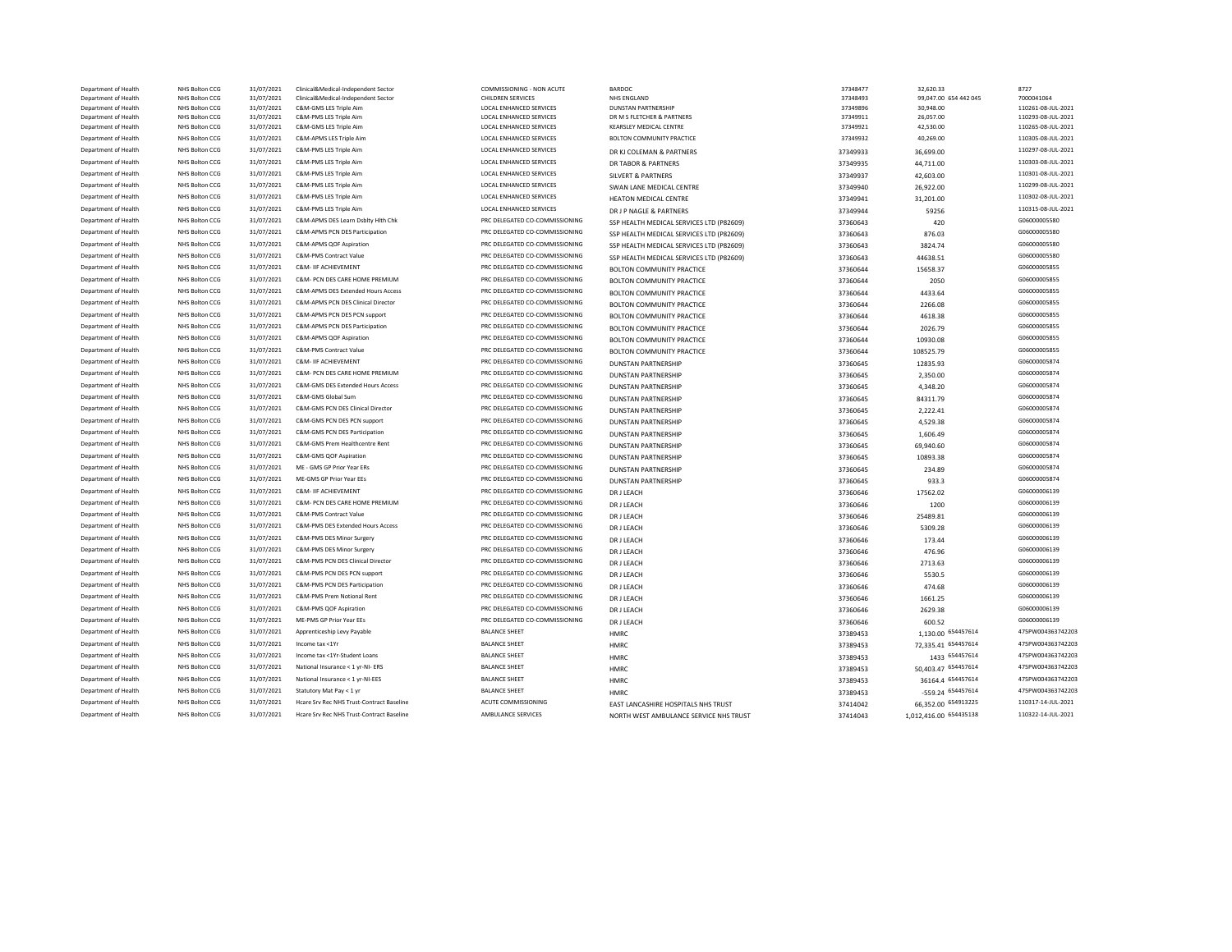| Department of Health                         | NHS Bolton CCG                   | 31/07/2021               | Clinical&Medical-Independent Sector                            | COMMISSIONING - NON ACUTE                                        | BARDOC                                                | 37348477             | 32,620.33              | 8727                                     |
|----------------------------------------------|----------------------------------|--------------------------|----------------------------------------------------------------|------------------------------------------------------------------|-------------------------------------------------------|----------------------|------------------------|------------------------------------------|
| Department of Health                         | NHS Bolton CCG                   | 31/07/2021               | Clinical&Medical-Independent Sector                            | <b>CHILDREN SERVICES</b>                                         | NHS ENGLAND                                           | 37348493             | 99,047.00 654 442 045  | 7000041064                               |
| Department of Health                         | NHS Bolton CCG                   | 31/07/2021               | C&M-GMS LES Triple Aim                                         | LOCAL ENHANCED SERVICES                                          | <b>DUNSTAN PARTNERSHIP</b>                            | 37349896             | 30,948.00              | 110261-08-JUL-2021                       |
| Department of Health<br>Department of Health | NHS Bolton CCG<br>NHS Bolton CCG | 31/07/2021<br>31/07/2021 | C&M-PMS LES Triple Aim<br>C&M-GMS LES Triple Aim               | LOCAL ENHANCED SERVICES<br>LOCAL ENHANCED SERVICES               | DR M S FLETCHER & PARTNERS<br>KEARSLEY MEDICAL CENTRE | 37349911<br>37349921 | 26,057.00<br>42,530.00 | 110293-08-JUL-2021<br>110265-08-JUL-2021 |
| Department of Health                         | NHS Bolton CCG                   | 31/07/2021               | C&M-APMS LES Triple Aim                                        | LOCAL ENHANCED SERVICES                                          | <b>BOLTON COMMUNITY PRACTICE</b>                      | 37349932             | 40,269.00              | 110305-08-JUL-2021                       |
| Department of Health                         | NHS Bolton CCG                   | 31/07/2021               | C&M-PMS LES Triple Aim                                         | LOCAL ENHANCED SERVICES                                          |                                                       |                      |                        | 110297-08-JUL-2021                       |
|                                              | NHS Bolton CCG                   | 31/07/2021               | C&M-PMS LES Triple Aim                                         | <b>LOCAL ENHANCED SERVICES</b>                                   | DR KJ COLEMAN & PARTNERS                              | 37349933             | 36,699.00              | 110303-08-JUL-2021                       |
| Department of Health                         |                                  |                          |                                                                |                                                                  | DR TABOR & PARTNERS                                   | 37349935             | 44,711.00              |                                          |
| Department of Health                         | NHS Bolton CCG<br>NHS Bolton CCG | 31/07/2021               | C&M-PMS LES Triple Aim                                         | LOCAL ENHANCED SERVICES<br><b>LOCAL ENHANCED SERVICES</b>        | SILVERT & PARTNERS                                    | 37349937             | 42,603.00              | 110301-08-JUL-2021<br>110299-08-JUL-2021 |
| Department of Health                         |                                  | 31/07/2021               | C&M-PMS LES Triple Aim                                         |                                                                  | SWAN LANE MEDICAL CENTRE                              | 37349940             | 26,922.00              |                                          |
| Department of Health                         | NHS Bolton CCG                   | 31/07/2021               | C&M-PMS LES Triple Aim                                         | LOCAL ENHANCED SERVICES                                          | <b>HEATON MEDICAL CENTRE</b>                          | 37349941             | 31,201.00              | 110302-08-JUL-2021                       |
| Department of Health                         | NHS Bolton CCG                   | 31/07/2021               | C&M-PMS LES Triple Aim                                         | <b>LOCAL ENHANCED SERVICES</b>                                   | DR J P NAGLE & PARTNERS                               | 37349944             | 59256                  | 110315-08-JUL-2021                       |
| Department of Health                         | NHS Bolton CCG                   | 31/07/2021               | C&M-APMS DES Learn Dsblty Hlth Chk                             | PRC DELEGATED CO-COMMISSIONING                                   | SSP HEALTH MEDICAL SERVICES LTD (P82609)              | 37360643             | 420                    | G06000005580                             |
| Department of Health                         | NHS Bolton CCG                   | 31/07/2021               | C&M-APMS PCN DES Participation                                 | PRC DELEGATED CO-COMMISSIONING                                   | SSP HEALTH MEDICAL SERVICES LTD (P82609)              | 37360643             | 876.03                 | G06000005580                             |
| Department of Health                         | NHS Bolton CCG                   | 31/07/2021               | C&M-APMS QOF Aspiration                                        | PRC DELEGATED CO-COMMISSIONING                                   | SSP HEALTH MEDICAL SERVICES LTD (P82609)              | 37360643             | 3824.74                | G06000005580                             |
| Department of Health                         | NHS Bolton CCG                   | 31/07/2021               | C&M-PMS Contract Value                                         | PRC DELEGATED CO-COMMISSIONING                                   | SSP HEALTH MEDICAL SERVICES LTD (P82609)              | 37360643             | 44638.51               | G06000005580                             |
| Department of Health                         | NHS Bolton CCG                   | 31/07/2021               | C&M- IIF ACHIEVEMENT                                           | PRC DELEGATED CO-COMMISSIONING                                   | BOLTON COMMUNITY PRACTICE                             | 37360644             | 15658.37               | G06000005855                             |
| Department of Health                         | NHS Bolton CCG                   | 31/07/2021               | C&M- PCN DES CARE HOME PREMIUM                                 | PRC DELEGATED CO-COMMISSIONING                                   | BOLTON COMMUNITY PRACTICE                             | 37360644             | 2050                   | G06000005855                             |
| Department of Health                         | NHS Bolton CCG                   | 31/07/2021               | C&M-APMS DES Extended Hours Access                             | PRC DELEGATED CO-COMMISSIONING                                   | BOLTON COMMUNITY PRACTICE                             | 37360644             | 4433.64                | G06000005855                             |
| Department of Health                         | NHS Bolton CCG                   | 31/07/2021               | C&M-APMS PCN DES Clinical Director                             | PRC DELEGATED CO-COMMISSIONING                                   | BOLTON COMMUNITY PRACTICE                             | 37360644             | 2266.08                | G06000005855                             |
| Department of Health                         | NHS Bolton CCG                   | 31/07/2021               | C&M-APMS PCN DES PCN support                                   | PRC DELEGATED CO-COMMISSIONING                                   | <b>BOLTON COMMUNITY PRACTICE</b>                      | 37360644             | 4618.38                | G06000005855                             |
| Department of Health                         | NHS Bolton CCG                   | 31/07/2021               | C&M-APMS PCN DES Participation                                 | PRC DELEGATED CO-COMMISSIONING                                   | <b>BOLTON COMMUNITY PRACTICE</b>                      | 37360644             | 2026.79                | G06000005855                             |
| Department of Health                         | NHS Bolton CCG                   | 31/07/2021               | C&M-APMS QOF Aspiration                                        | PRC DELEGATED CO-COMMISSIONING                                   | BOLTON COMMUNITY PRACTICE                             | 37360644             | 10930.08               | G06000005855                             |
| Department of Health                         | NHS Bolton CCG                   | 31/07/2021               | C&M-PMS Contract Value                                         | PRC DELEGATED CO-COMMISSIONING                                   | BOLTON COMMUNITY PRACTICE                             | 37360644             | 108525.79              | G06000005855                             |
| Department of Health                         | NHS Bolton CCG                   | 31/07/2021               | C&M- IIF ACHIEVEMENT                                           | PRC DELEGATED CO-COMMISSIONING                                   | <b>DUNSTAN PARTNERSHIP</b>                            | 37360645             | 12835.93               | G06000005874                             |
| Department of Health                         | NHS Bolton CCG                   | 31/07/2021               | C&M- PCN DES CARE HOME PREMIUM                                 | PRC DELEGATED CO-COMMISSIONING                                   | <b>DUNSTAN PARTNERSHIP</b>                            | 37360645             | 2,350.00               | G06000005874                             |
| Department of Health                         | NHS Bolton CCG                   | 31/07/2021               | C&M-GMS DES Extended Hours Access                              | PRC DELEGATED CO-COMMISSIONING                                   | <b>DUNSTAN PARTNERSHIP</b>                            | 37360645             | 4,348.20               | G06000005874                             |
| Department of Health                         | NHS Bolton CCG                   | 31/07/2021               | C&M-GMS Global Sum                                             | PRC DELEGATED CO-COMMISSIONING                                   | <b>DUNSTAN PARTNERSHIP</b>                            | 37360645             | 84311.79               | G06000005874                             |
| Department of Health                         | NHS Bolton CCG                   | 31/07/2021               | C&M-GMS PCN DES Clinical Director                              | PRC DELEGATED CO-COMMISSIONING                                   | <b>DUNSTAN PARTNERSHIP</b>                            | 37360645             | 2,222.41               | G06000005874                             |
| Department of Health                         | NHS Bolton CCG                   | 31/07/2021               | C&M-GMS PCN DES PCN support                                    | PRC DELEGATED CO-COMMISSIONING                                   | <b>DUNSTAN PARTNERSHIP</b>                            | 37360645             | 4,529.38               | G06000005874                             |
| Department of Health                         | NHS Bolton CCG                   | 31/07/2021               | C&M-GMS PCN DES Particination                                  | PRC DELEGATED CO-COMMISSIONING                                   | <b>DUNSTAN PARTNERSHIP</b>                            | 37360645             | 1,606.49               | G06000005874                             |
| Department of Health                         | NHS Bolton CCG                   | 31/07/2021               | C&M-GMS Prem Healthcentre Rent                                 | PRC DELEGATED CO-COMMISSIONING                                   | <b>DUNSTAN PARTNERSHIP</b>                            | 37360645             | 69,940.60              | G06000005874                             |
| Department of Health                         | NHS Bolton CCG                   | 31/07/2021               | C&M-GMS QOF Aspiration                                         | PRC DELEGATED CO-COMMISSIONING                                   | <b>DUNSTAN PARTNERSHIP</b>                            | 37360645             | 10893.38               | G06000005874                             |
| Department of Health                         | NHS Bolton CCG                   | 31/07/2021               | ME - GMS GP Prior Year ERs                                     | PRC DELEGATED CO-COMMISSIONING                                   | <b>DUNSTAN PARTNERSHIP</b>                            | 37360645             | 234.89                 | G06000005874                             |
| Department of Health                         | NHS Bolton CCG                   | 31/07/2021               | ME-GMS GP Prior Year EEs                                       | PRC DELEGATED CO-COMMISSIONING                                   | <b>DUNSTAN PARTNERSHIP</b>                            |                      | 933.3                  | G06000005874                             |
| Department of Health                         | NHS Bolton CCG                   | 31/07/2021               | C&M- IIF ACHIEVEMENT                                           | PRC DELEGATED CO-COMMISSIONING                                   |                                                       | 37360645             |                        | G06000006139                             |
| Department of Health                         | NHS Bolton CCG                   | 31/07/2021               | C&M- PCN DES CARE HOME PREMIUM                                 | PRC DELEGATED CO-COMMISSIONING                                   | DR J LEACH                                            | 37360646             | 17562.02               | G06000006139                             |
| Department of Health                         | NHS Bolton CCG                   | 31/07/2021               | C&M-PMS Contract Value                                         | PRC DELEGATED CO-COMMISSIONING                                   | DR J LEACH                                            | 37360646             | 1200                   | G06000006139                             |
|                                              |                                  | 31/07/2021               |                                                                |                                                                  | DR J LEACH                                            | 37360646             | 25489.81               |                                          |
| Department of Health                         | NHS Bolton CCG<br>NHS Bolton CCG |                          | C&M-PMS DES Extended Hours Access<br>C&M-PMS DES Minor Surgery | PRC DELEGATED CO-COMMISSIONING<br>PRC DELEGATED CO-COMMISSIONING | DR J LEACH                                            | 37360646             | 5309.28                | G06000006139<br>G06000006139             |
| Department of Health                         |                                  | 31/07/2021               |                                                                |                                                                  | <b>DR J LEACH</b>                                     | 37360646             | 173.44                 |                                          |
| Department of Health                         | NHS Bolton CCG                   | 31/07/2021               | C&M-PMS DES Minor Surgery                                      | PRC DELEGATED CO-COMMISSIONING                                   | DR J LEACH                                            | 37360646             | 476.96                 | G06000006139                             |
| Department of Health                         | NHS Bolton CCG                   | 31/07/2021               | C&M-PMS PCN DES Clinical Director                              | PRC DELEGATED CO-COMMISSIONING                                   | DR J LEACH                                            | 37360646             | 2713.63                | G06000006139                             |
| Department of Health                         | NHS Bolton CCG                   | 31/07/2021               | C&M-PMS PCN DES PCN support                                    | PRC DELEGATED CO-COMMISSIONING                                   | DR J LEACH                                            | 37360646             | 5530.5                 | G06000006139                             |
| Department of Health                         | NHS Bolton CCG                   | 31/07/2021               | C&M-PMS PCN DES Participation                                  | PRC DELEGATED CO-COMMISSIONING                                   | DR J LEACH                                            | 37360646             | 474.68                 | G06000006139                             |
| Department of Health                         | NHS Bolton CCG                   | 31/07/2021               | C&M-PMS Prem Notional Rent                                     | PRC DELEGATED CO-COMMISSIONING                                   | DR J LEACH                                            | 37360646             | 1661.25                | G06000006139                             |
| Department of Health                         | NHS Bolton CCG                   | 31/07/2021               | C&M-PMS QOF Aspiration                                         | PRC DELEGATED CO-COMMISSIONING                                   | DR J LEACH                                            | 37360646             | 2629.38                | G06000006139                             |
| Department of Health                         | NHS Bolton CCG                   | 31/07/2021               | ME-PMS GP Prior Year EEs                                       | PRC DELEGATED CO-COMMISSIONING                                   | DR J LEACH                                            | 37360646             | 600.52                 | G06000006139                             |
| Department of Health                         | NHS Bolton CCG                   | 31/07/2021               | Apprenticeship Levy Payable                                    | <b>BALANCE SHEET</b>                                             | HMRC                                                  | 37389453             | 1,130.00 654457614     | 475PW004363742203                        |
| Department of Health                         | NHS Bolton CCG                   | 31/07/2021               | Income tax <1Yr                                                | <b>BALANCE SHEET</b>                                             | HMRC                                                  | 37389453             | 72,335.41 654457614    | 475PW004363742203                        |
| Department of Health                         | <b>NHS Bolton CCG</b>            | 31/07/2021               | Income tax <1Yr-Student Loans                                  | <b>BALANCE SHEET</b>                                             | HMRC                                                  | 37389453             | 1433 654457614         | 475PW004363742203                        |
| Department of Health                         | NHS Bolton CCG                   | 31/07/2021               | National Insurance < 1 yr-NI- ERS                              | <b>BALANCE SHEET</b>                                             | HMRC                                                  | 37389453             | 50,403.47 654457614    | 475PW004363742203                        |
| Department of Health                         | NHS Bolton CCG                   | 31/07/2021               | National Insurance < 1 yr-NI-EES                               | <b>BALANCE SHEET</b>                                             | HMRC                                                  | 37389453             | 36164.4 654457614      | 475PW004363742203                        |
| Department of Health                         | NHS Bolton CCG                   | 31/07/2021               | Statutory Mat Pay < 1 yr                                       | <b>BALANCE SHEET</b>                                             | <b>HMRC</b>                                           | 37389453             | -559.24 654457614      | 475PW004363742203                        |
| Department of Health                         | NHS Bolton CCG                   | 31/07/2021               | Hcare Srv Rec NHS Trust-Contract Baseline                      | ACUTE COMMISSIONING                                              | EAST LANCASHIRE HOSPITALS NHS TRUST                   | 37414042             | 66,352.00 654913225    | 110317-14-JUL-2021                       |
| Department of Health                         | NHS Bolton CCG                   | 31/07/2021               | Hcare Srv Rec NHS Trust-Contract Baseline                      | AMBULANCE SERVICES                                               | NORTH WEST AMBULANCE SERVICE NHS TRUST                | 37414043             | 1,012,416.00 654435138 | 110322-14-JUL-2021                       |
|                                              |                                  |                          |                                                                |                                                                  |                                                       |                      |                        |                                          |